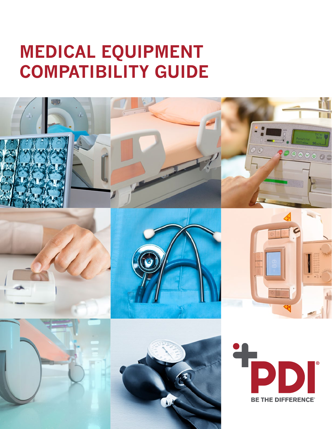## **MEDICAL EQUIPMENT COMPATIBILITY GUIDE**

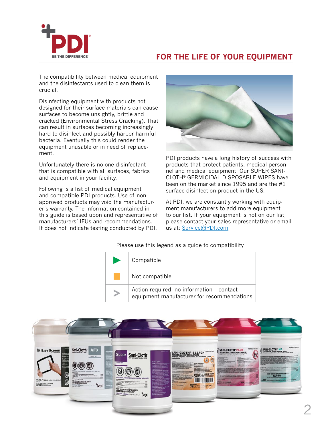

## **FOR THE LIFE OF YOUR EQUIPMENT**

The compatibility between medical equipment and the disinfectants used to clean them is crucial.

Disinfecting equipment with products not designed for their surface materials can cause surfaces to become unsightly, brittle and cracked (Environmental Stress Cracking). That can result in surfaces becoming increasingly hard to disinfect and possibly harbor harmful bacteria. Eventually this could render the equipment unusable or in need of replacement.

Unfortunately there is no one disinfectant that is compatible with all surfaces, fabrics and equipment in your facility.

Following is a list of medical equipment and compatible PDI products. Use of nonapproved products may void the manufacturer's warranty. The information contained in this guide is based upon and representative of manufacturers' IFUs and recommendations. It does not indicate testing conducted by PDI.



PDI products have a long history of success with products that protect patients, medical personnel and medical equipment. Our SUPER SANI-CLOTH® GERMICIDAL DISPOSABLE WIPES have been on the market since 1995 and are the #1 surface disinfection product in the US.

At PDI, we are constantly working with equipment manufacturers to add more equipment to our list. If your equipment is not on our list, please contact your sales representative or email us at: [Service@PDI.com](mailto:Service%40PDI.com?subject=)

| Compatible                                                                              |
|-----------------------------------------------------------------------------------------|
| Not compatible                                                                          |
| Action required, no information – contact<br>equipment manufacturer for recommendations |

Please use this legend as a guide to compatibility

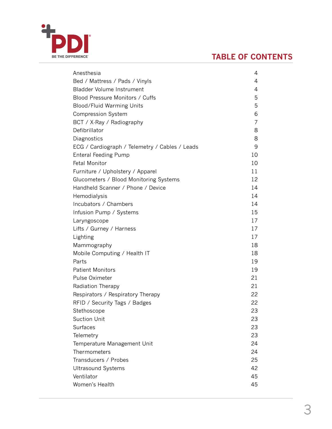<span id="page-2-0"></span>

## **TABLE OF CONTENTS**

| Anesthesia                                     | 4  |
|------------------------------------------------|----|
| Bed / Mattress / Pads / Vinyls                 | 4  |
| <b>Bladder Volume Instrument</b>               | 4  |
| Blood Pressure Monitors / Cuffs                | 5  |
| Blood/Fluid Warming Units                      | 5  |
| <b>Compression System</b>                      | 6  |
| BCT / X-Ray / Radiography                      | 7  |
| Defibrillator                                  | 8  |
| Diagnostics                                    | 8  |
| ECG / Cardiograph / Telemetry / Cables / Leads | 9  |
| <b>Enteral Feeding Pump</b>                    | 10 |
| <b>Fetal Monitor</b>                           | 10 |
| Furniture / Upholstery / Apparel               | 11 |
| Glucometers / Blood Monitoring Systems         | 12 |
| Handheld Scanner / Phone / Device              | 14 |
| Hemodialysis                                   | 14 |
| Incubators / Chambers                          | 14 |
| Infusion Pump / Systems                        | 15 |
| Laryngoscope                                   | 17 |
| Lifts / Gurney / Harness                       | 17 |
| Lighting                                       | 17 |
| Mammography                                    | 18 |
| Mobile Computing / Health IT                   | 18 |
| Parts                                          | 19 |
| <b>Patient Monitors</b>                        | 19 |
| Pulse Oximeter                                 | 21 |
| Radiation Therapy                              | 21 |
| Respirators / Respiratory Therapy              | 22 |
| RFID / Security Tags / Badges                  | 22 |
| Stethoscope                                    | 23 |
| <b>Suction Unit</b>                            | 23 |
| Surfaces                                       | 23 |
| Telemetry                                      | 23 |
| Temperature Management Unit                    | 24 |
| Thermometers                                   | 24 |
| Transducers / Probes                           | 25 |
| <b>Ultrasound Systems</b>                      | 42 |
| Ventilator                                     | 45 |
| Women's Health                                 | 45 |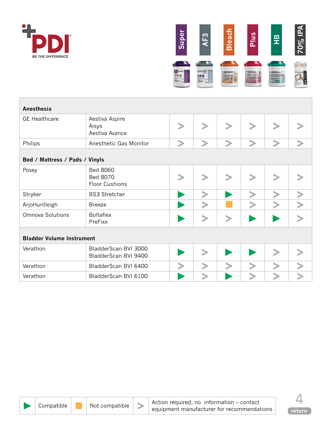<span id="page-3-0"></span>



| Anesthesia                       |                                                             |  |  |  |  |  |  |  |  |  |
|----------------------------------|-------------------------------------------------------------|--|--|--|--|--|--|--|--|--|
| <b>GE Healthcare</b>             | Aestiva Aspire<br>Aisys<br>Aestiva Avance                   |  |  |  |  |  |  |  |  |  |
| Philips                          | Anesthetic Gas Monitor                                      |  |  |  |  |  |  |  |  |  |
| Bed / Mattress / Pads / Vinyls   |                                                             |  |  |  |  |  |  |  |  |  |
| Posey                            | <b>Bed 8060</b><br><b>Bed 8070</b><br><b>Floor Cushions</b> |  |  |  |  |  |  |  |  |  |
| Stryker                          | <b>BS3 Stretcher</b>                                        |  |  |  |  |  |  |  |  |  |
| ArjoHuntleigh                    | <b>Breeze</b>                                               |  |  |  |  |  |  |  |  |  |
| Omnova Solutions                 | <b>Boltaflex</b><br>PreFixx                                 |  |  |  |  |  |  |  |  |  |
| <b>Bladder Volume Instrument</b> |                                                             |  |  |  |  |  |  |  |  |  |
| Verathon                         | BladderScan BVI 3000<br>BladderScan BVI 9400                |  |  |  |  |  |  |  |  |  |
| Verathon                         | BladderScan BVI 6400                                        |  |  |  |  |  |  |  |  |  |
| Verathon                         | BladderScan BVI 6100                                        |  |  |  |  |  |  |  |  |  |



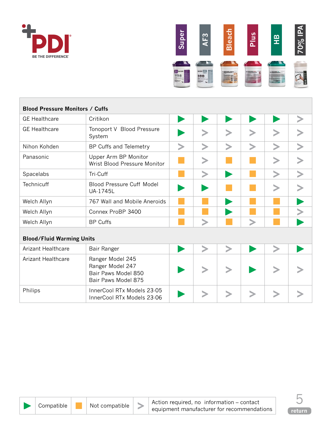<span id="page-4-0"></span>



| <b>Blood Pressure Monitors / Cuffs</b> |                                                                                    |        |        |        |        |        |  |  |  |  |
|----------------------------------------|------------------------------------------------------------------------------------|--------|--------|--------|--------|--------|--|--|--|--|
| <b>GE Healthcare</b>                   | Critikon                                                                           |        |        |        |        |        |  |  |  |  |
| <b>GE Healthcare</b>                   | Tonoport V Blood Pressure<br>System                                                |        |        |        |        |        |  |  |  |  |
| Nihon Kohden                           | BP Cuffs and Telemetry                                                             | $\, >$ | $\geq$ | $\geq$ | $\geq$ | $\geq$ |  |  |  |  |
| Panasonic                              | Upper Arm BP Monitor<br>Wrist Blood Pressure Monitor                               |        | >      |        |        |        |  |  |  |  |
| Spacelabs                              | Tri-Cuff                                                                           |        |        |        |        |        |  |  |  |  |
| <b>Technicuff</b>                      | <b>Blood Pressure Cuff Model</b><br>UA-1745L                                       |        |        |        |        |        |  |  |  |  |
| Welch Allyn                            | 767 Wall and Mobile Aneroids                                                       |        |        |        |        |        |  |  |  |  |
| Welch Allyn                            | Connex ProBP 3400                                                                  |        |        |        |        |        |  |  |  |  |
| Welch Allyn                            | <b>BP Cuffs</b>                                                                    |        |        |        |        |        |  |  |  |  |
| <b>Blood/Fluid Warming Units</b>       |                                                                                    |        |        |        |        |        |  |  |  |  |
| <b>Arizant Healthcare</b>              | Bair Ranger                                                                        |        |        |        |        |        |  |  |  |  |
| Arizant Healthcare                     | Ranger Model 245<br>Ranger Model 247<br>Bair Paws Model 850<br>Bair Paws Model 875 |        |        |        |        |        |  |  |  |  |
| Philips                                | InnerCool RTx Models 23-05<br>InnerCool RTx Models 23-06                           |        |        |        |        |        |  |  |  |  |

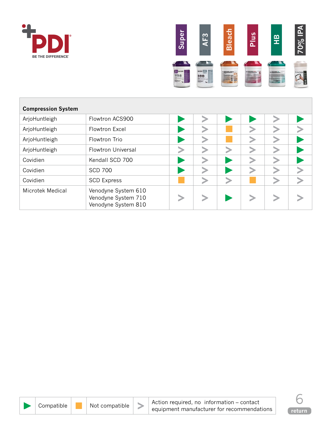<span id="page-5-0"></span>



| <b>Compression System</b> |                                                                   |   |  |  |
|---------------------------|-------------------------------------------------------------------|---|--|--|
| ArjoHuntleigh             | Flowtron ACS900                                                   |   |  |  |
| ArjoHuntleigh             | Flowtron Excel                                                    |   |  |  |
| ArjoHuntleigh             | Flowtron Trio                                                     | ↘ |  |  |
| ArjoHuntleigh             | <b>Flowtron Universal</b>                                         |   |  |  |
| Covidien                  | Kendall SCD 700                                                   | ↘ |  |  |
| Covidien                  | <b>SCD 700</b>                                                    |   |  |  |
| Covidien                  | <b>SCD Express</b>                                                |   |  |  |
| Microtek Medical          | Venodyne System 610<br>Venodyne System 710<br>Venodyne System 810 |   |  |  |



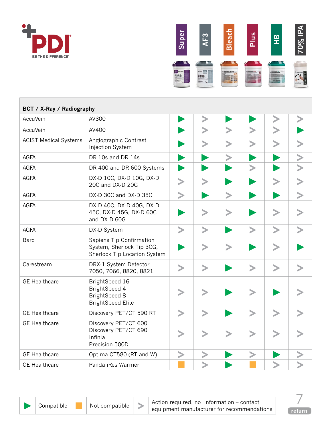<span id="page-6-0"></span>



| BCT / X-Ray / Radiography    |                                                                                            |   |   |   |   |   |  |  |  |
|------------------------------|--------------------------------------------------------------------------------------------|---|---|---|---|---|--|--|--|
| <b>AccuVein</b>              | AV300                                                                                      |   |   |   |   |   |  |  |  |
| <b>AccuVein</b>              | AV400                                                                                      |   |   |   |   |   |  |  |  |
| <b>ACIST Medical Systems</b> | Angiographic Contrast<br>Injection System                                                  |   |   |   |   |   |  |  |  |
| <b>AGFA</b>                  | DR 10s and DR 14s                                                                          |   |   |   |   |   |  |  |  |
| <b>AGFA</b>                  | DR 400 and DR 600 Systems                                                                  |   |   |   |   |   |  |  |  |
| <b>AGFA</b>                  | DX-D 10C, DX-D 10G, DX-D<br>20C and DX-D 20G                                               |   |   |   |   |   |  |  |  |
| <b>AGFA</b>                  | DX-D 30C and DX-D 35C                                                                      |   |   | ⋗ |   |   |  |  |  |
| <b>AGFA</b>                  | DX-D 40C, DX-D 40G, DX-D<br>45C, DX-D 45G, DX-D 60C<br>and DX-D 60G                        |   |   |   |   |   |  |  |  |
| <b>AGFA</b>                  | DX-D System                                                                                |   |   |   |   |   |  |  |  |
| Bard                         | Sapiens Tip Confirmation<br>System, Sherlock Tip 3CG,<br>Sherlock Tip Location System      |   |   |   |   |   |  |  |  |
| Carestream                   | DRX-1 System Detector<br>7050, 7066, 8820, 8821                                            | ⋗ | ⋗ |   | > | > |  |  |  |
| <b>GE Healthcare</b>         | BrightSpeed 16<br><b>BrightSpeed 4</b><br><b>BrightSpeed 8</b><br><b>BrightSpeed Elite</b> |   |   |   |   |   |  |  |  |
| <b>GE Healthcare</b>         | Discovery PET/CT 590 RT                                                                    |   |   |   |   |   |  |  |  |
| <b>GE</b> Healthcare         | Discovery PET/CT 600<br>Discovery PET/CT 690<br>Infinia<br>Precision 500D                  |   |   |   |   |   |  |  |  |
| <b>GE</b> Healthcare         | Optima CT580 (RT and W)                                                                    |   |   |   |   |   |  |  |  |
| <b>GE</b> Healthcare         | Panda iRes Warmer                                                                          |   |   |   |   |   |  |  |  |



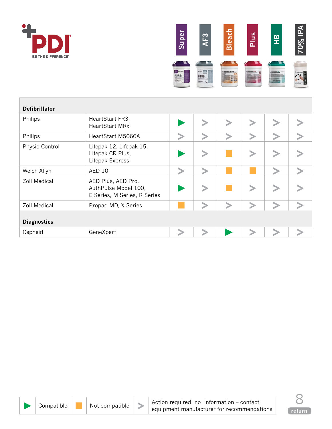<span id="page-7-0"></span>



| <b>Defibrillator</b> |                                                                            |  |  |  |
|----------------------|----------------------------------------------------------------------------|--|--|--|
| Philips              | HeartStart FR3,<br><b>HeartStart MRx</b>                                   |  |  |  |
| Philips              | HeartStart M5066A                                                          |  |  |  |
| Physio-Control       | Lifepak 12, Lifepak 15,<br>Lifepak CR Plus,<br>Lifepak Express             |  |  |  |
| Welch Allyn          | <b>AED 10</b>                                                              |  |  |  |
| <b>Zoll Medical</b>  | AED Plus, AED Pro,<br>AuthPulse Model 100,<br>E Series, M Series, R Series |  |  |  |
| <b>Zoll Medical</b>  | Propaq MD, X Series                                                        |  |  |  |
| <b>Diagnostics</b>   |                                                                            |  |  |  |
| Cepheid              | GeneXpert                                                                  |  |  |  |



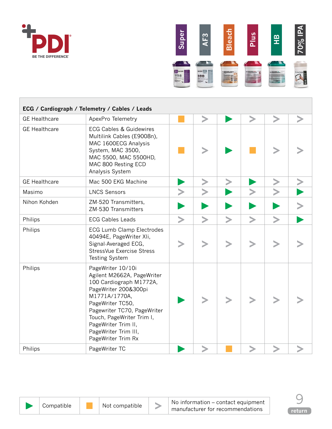<span id="page-8-0"></span>



|                      | ECG / Cardiograph / Telemetry / Cables / Leads                                                                                                                                                                                                                           |  |  |  |
|----------------------|--------------------------------------------------------------------------------------------------------------------------------------------------------------------------------------------------------------------------------------------------------------------------|--|--|--|
| <b>GE Healthcare</b> | ApexPro Telemetry                                                                                                                                                                                                                                                        |  |  |  |
| <b>GE Healthcare</b> | <b>ECG Cables &amp; Guidewires</b><br>Multilink Cables (E9008n),<br>MAC 1600ECG Analysis<br>System, MAC 3500,<br>MAC 5500, MAC 5500HD,<br>MAC 800 Resting ECD<br>Analysis System                                                                                         |  |  |  |
| <b>GE Healthcare</b> | Mac 500 EKG Machine                                                                                                                                                                                                                                                      |  |  |  |
| Masimo               | <b>LNCS Sensors</b>                                                                                                                                                                                                                                                      |  |  |  |
| Nihon Kohden         | ZM-520 Transmitters,<br>ZM-530 Transmitters                                                                                                                                                                                                                              |  |  |  |
| Philips              | <b>ECG Cables Leads</b>                                                                                                                                                                                                                                                  |  |  |  |
| Philips              | <b>ECG Lumb Clamp Electrodes</b><br>40494E, PageWriter XIi,<br>Signal-Averaged ECG,<br>StressVue Exercise Stress<br><b>Testing System</b>                                                                                                                                |  |  |  |
| Philips              | PageWriter 10/10i<br>Agilent M2662A, PageWriter<br>100 Cardiograph M1772A,<br>PageWriter 200&300pi<br>M1771A/1770A,<br>PageWriter TC50,<br>Pagewriter TC70, PageWriter<br>Touch, PageWriter Trim I,<br>PageWriter Trim II,<br>PageWriter Trim III,<br>PageWriter Trim Rx |  |  |  |
| Philips              | PageWriter TC                                                                                                                                                                                                                                                            |  |  |  |



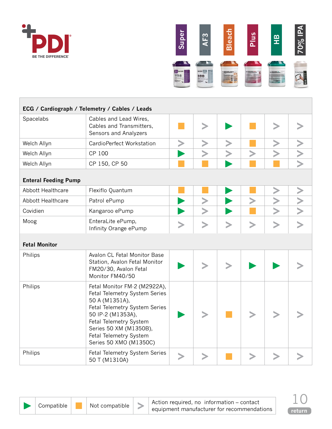<span id="page-9-0"></span>



|                             | ECG / Cardiograph / Telemetry / Cables / Leads                                                                                                                                                                                                |           |  |   |  |
|-----------------------------|-----------------------------------------------------------------------------------------------------------------------------------------------------------------------------------------------------------------------------------------------|-----------|--|---|--|
| Spacelabs                   | Cables and Lead Wires,<br>Cables and Transmitters,<br>Sensors and Analyzers                                                                                                                                                                   | ゝ         |  |   |  |
| Welch Allyn                 | CardioPerfect Workstation                                                                                                                                                                                                                     |           |  |   |  |
| Welch Allyn                 | CP 100                                                                                                                                                                                                                                        |           |  |   |  |
| Welch Allyn                 | CP 150, CP 50                                                                                                                                                                                                                                 |           |  |   |  |
| <b>Enteral Feeding Pump</b> |                                                                                                                                                                                                                                               |           |  |   |  |
| Abbott Healthcare           | Flexiflo Quantum                                                                                                                                                                                                                              |           |  |   |  |
| Abbott Healthcare           | Patrol ePump                                                                                                                                                                                                                                  |           |  |   |  |
| Covidien                    | Kangaroo ePump                                                                                                                                                                                                                                |           |  |   |  |
| Moog                        | EnteraLite ePump,<br>Infinity Orange ePump                                                                                                                                                                                                    | $\, > \,$ |  | > |  |
| <b>Fetal Monitor</b>        |                                                                                                                                                                                                                                               |           |  |   |  |
| Philips                     | Avalon CL Fetal Monitor Base<br>Station, Avalon Fetal Monitor<br>FM20/30, Avalon Fetal<br>Monitor FM40/50                                                                                                                                     |           |  |   |  |
| Philips                     | Fetal Monitor FM-2 (M2922A),<br>Fetal Telemetry System Series<br>50 A (M1351A),<br>Fetal Telemetry System Series<br>50 IP-2 (M1353A),<br>Fetal Telemetry System<br>Series 50 XM (M1350B),<br>Fetal Telemetry System<br>Series 50 XMO (M1350C) |           |  |   |  |
| Philips                     | Fetal Telemetry System Series<br>50 T (M1310A)                                                                                                                                                                                                |           |  |   |  |

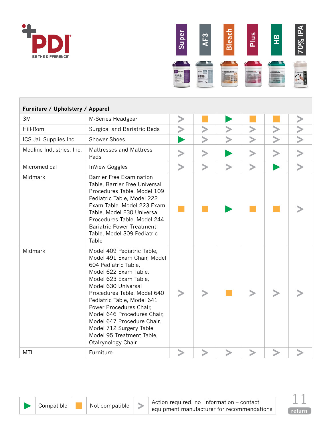<span id="page-10-0"></span>



| Furniture / Upholstery / Apparel |                                                                                                                                                                                                                                                                                                                                                                                                |   |        |        |        |   |  |
|----------------------------------|------------------------------------------------------------------------------------------------------------------------------------------------------------------------------------------------------------------------------------------------------------------------------------------------------------------------------------------------------------------------------------------------|---|--------|--------|--------|---|--|
| 3M                               | M-Series Headgear                                                                                                                                                                                                                                                                                                                                                                              | ⋗ |        |        |        |   |  |
| Hill-Rom                         | <b>Surgical and Bariatric Beds</b>                                                                                                                                                                                                                                                                                                                                                             |   |        |        |        |   |  |
| ICS Jail Supplies Inc.           | <b>Shower Shoes</b>                                                                                                                                                                                                                                                                                                                                                                            |   |        |        |        |   |  |
| Medline Industries, Inc.         | Mattresses and Mattress<br>Pads                                                                                                                                                                                                                                                                                                                                                                | ⋗ | ⋗      |        | ⋗      | ⋗ |  |
| Micromedical                     | InView Goggles                                                                                                                                                                                                                                                                                                                                                                                 |   | $\geq$ | $\geq$ | $\, >$ |   |  |
| Midmark                          | <b>Barrier Free Examination</b><br>Table, Barrier Free Universal<br>Procedures Table, Model 109<br>Pediatric Table, Model 222<br>Exam Table, Model 223 Exam<br>Table, Model 230 Universal<br>Procedures Table, Model 244<br><b>Bariatric Power Treatment</b><br>Table, Model 309 Pediatric<br>Table                                                                                            |   |        |        |        |   |  |
| Midmark                          | Model 409 Pediatric Table,<br>Model 491 Exam Chair, Model<br>604 Pediatric Table,<br>Model 622 Exam Table,<br>Model 623 Exam Table,<br>Model 630 Universal<br>Procedures Table, Model 640<br>Pediatric Table, Model 641<br>Power Procedures Chair,<br>Model 646 Procedures Chair,<br>Model 647 Procedure Chair,<br>Model 712 Surgery Table,<br>Model 95 Treatment Table,<br>Otalrynology Chair |   |        |        |        |   |  |
| MTI                              | Furniture                                                                                                                                                                                                                                                                                                                                                                                      |   |        |        |        |   |  |



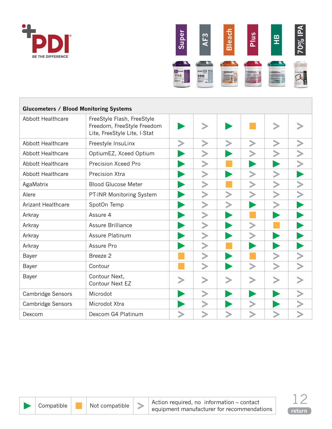<span id="page-11-0"></span>



| <b>Glucometers / Blood Monitoring Systems</b> |                                                                                          |  |  |  |  |  |  |  |  |  |
|-----------------------------------------------|------------------------------------------------------------------------------------------|--|--|--|--|--|--|--|--|--|
| Abbott Healthcare                             | FreeStyle Flash, FreeStyle<br>Freedom, FreeStyle Freedom<br>Lite, FreeStyle Lite, I-Stat |  |  |  |  |  |  |  |  |  |
| Abbott Healthcare                             | Freestyle InsuLinx                                                                       |  |  |  |  |  |  |  |  |  |
| Abbott Healthcare                             | OptiumEZ, Xceed Optium                                                                   |  |  |  |  |  |  |  |  |  |
| Abbott Healthcare                             | Precision Xceed Pro                                                                      |  |  |  |  |  |  |  |  |  |
| Abbott Healthcare                             | Precision Xtra                                                                           |  |  |  |  |  |  |  |  |  |
| AgaMatrix                                     | <b>Blood Glucose Meter</b>                                                               |  |  |  |  |  |  |  |  |  |
| Alere                                         | PT-INR Monitoring System                                                                 |  |  |  |  |  |  |  |  |  |
| <b>Arizant Healthcare</b>                     | SpotOn Temp                                                                              |  |  |  |  |  |  |  |  |  |
| Arkray                                        | Assure 4                                                                                 |  |  |  |  |  |  |  |  |  |
| Arkray                                        | Assure Brilliance                                                                        |  |  |  |  |  |  |  |  |  |
| Arkray                                        | Assure Platinum                                                                          |  |  |  |  |  |  |  |  |  |
| Arkray                                        | Assure Pro                                                                               |  |  |  |  |  |  |  |  |  |
| Bayer                                         | Breeze 2                                                                                 |  |  |  |  |  |  |  |  |  |
| Bayer                                         | Contour                                                                                  |  |  |  |  |  |  |  |  |  |
| Bayer                                         | Contour Next,<br>Contour Next EZ                                                         |  |  |  |  |  |  |  |  |  |
| Cambridge Sensors                             | Microdot                                                                                 |  |  |  |  |  |  |  |  |  |
| <b>Cambridge Sensors</b>                      | Microdot Xtra                                                                            |  |  |  |  |  |  |  |  |  |
| Dexcom                                        | Dexcom G4 Platinum                                                                       |  |  |  |  |  |  |  |  |  |



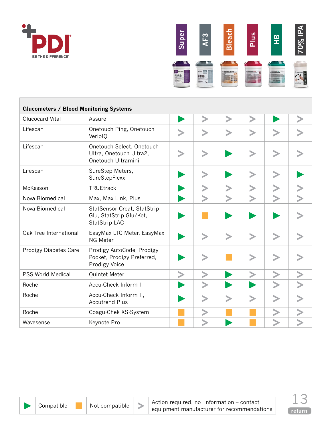



| <b>Glucometers / Blood Monitoring Systems</b> |                                                                            |  |  |  |  |        |  |  |  |  |
|-----------------------------------------------|----------------------------------------------------------------------------|--|--|--|--|--------|--|--|--|--|
| <b>Glucocard Vital</b>                        | Assure                                                                     |  |  |  |  |        |  |  |  |  |
| Lifescan                                      | Onetouch Ping, Onetouch<br>VeriolQ                                         |  |  |  |  |        |  |  |  |  |
| Lifescan                                      | Onetouch Select, Onetouch<br>Ultra, Onetouch Ultra2,<br>Onetouch Ultramini |  |  |  |  |        |  |  |  |  |
| Lifescan                                      | SureStep Meters,<br>SureStepFlexx                                          |  |  |  |  |        |  |  |  |  |
| McKesson                                      | TRUEtrack                                                                  |  |  |  |  |        |  |  |  |  |
| Nova Biomedical                               | Max, Max Link, Plus                                                        |  |  |  |  |        |  |  |  |  |
| Nova Biomedical                               | StatSensor Creat, StatStrip<br>Glu, StatStrip Glu/Ket,<br>StatStrip LAC    |  |  |  |  |        |  |  |  |  |
| Oak Tree International                        | EasyMax LTC Meter, EasyMax<br><b>NG Meter</b>                              |  |  |  |  |        |  |  |  |  |
| <b>Prodigy Diabetes Care</b>                  | Prodigy AutoCode, Prodigy<br>Pocket, Prodigy Preferred,<br>Prodigy Voice   |  |  |  |  |        |  |  |  |  |
| <b>PSS World Medical</b>                      | Quintet Meter                                                              |  |  |  |  |        |  |  |  |  |
| Roche                                         | Accu-Check Inform I                                                        |  |  |  |  |        |  |  |  |  |
| Roche                                         | Accu-Check Inform II,<br><b>Accutrend Plus</b>                             |  |  |  |  | $\, >$ |  |  |  |  |
| Roche                                         | Coagu-Chek XS-System                                                       |  |  |  |  |        |  |  |  |  |
| Wavesense                                     | Keynote Pro                                                                |  |  |  |  |        |  |  |  |  |



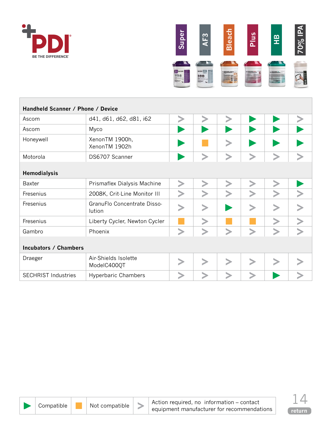<span id="page-13-0"></span>



| Handheld Scanner / Phone / Device |                                       |  |  |  |   |  |  |  |  |  |  |
|-----------------------------------|---------------------------------------|--|--|--|---|--|--|--|--|--|--|
| Ascom                             | d41, d61, d62, d81, i62               |  |  |  |   |  |  |  |  |  |  |
| Ascom                             | Myco                                  |  |  |  |   |  |  |  |  |  |  |
| Honeywell                         | XenonTM 1900h,<br>XenonTM 1902h       |  |  |  |   |  |  |  |  |  |  |
| Motorola                          | DS6707 Scanner                        |  |  |  |   |  |  |  |  |  |  |
| <b>Hemodialysis</b>               |                                       |  |  |  |   |  |  |  |  |  |  |
| <b>Baxter</b>                     | Prismaflex Dialysis Machine           |  |  |  |   |  |  |  |  |  |  |
| Fresenius                         | 2008K, Crit-Line Monitor III          |  |  |  |   |  |  |  |  |  |  |
| Fresenius                         | GranuFlo Concentrate Disso-<br>lution |  |  |  |   |  |  |  |  |  |  |
| Fresenius                         | Liberty Cycler, Newton Cycler         |  |  |  |   |  |  |  |  |  |  |
| Gambro                            | Phoenix                               |  |  |  | ゝ |  |  |  |  |  |  |
| <b>Incubators / Chambers</b>      |                                       |  |  |  |   |  |  |  |  |  |  |
| Draeger                           | Air-Shields Isolette<br>ModelC400QT   |  |  |  |   |  |  |  |  |  |  |
| <b>SECHRIST Industries</b>        | <b>Hyperbaric Chambers</b>            |  |  |  |   |  |  |  |  |  |  |



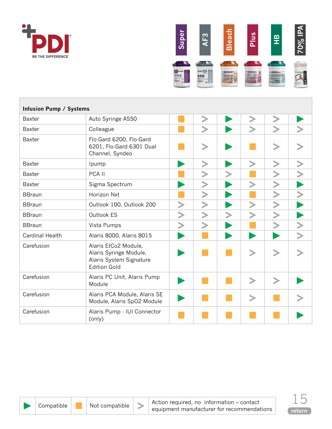<span id="page-14-0"></span>



| <b>Infusion Pump / Systems</b> |                                                                                                  |  |  |  |                       |        |  |  |  |  |
|--------------------------------|--------------------------------------------------------------------------------------------------|--|--|--|-----------------------|--------|--|--|--|--|
| <b>Baxter</b>                  | Auto Syringe AS50                                                                                |  |  |  |                       |        |  |  |  |  |
| <b>Baxter</b>                  | Colleague                                                                                        |  |  |  | $\blacktriangleright$ | $\geq$ |  |  |  |  |
| <b>Baxter</b>                  | Flo-Gard 6200, Flo-Gard<br>6201, Flo-Gard 6301 Dual<br>Channel, Syndeo                           |  |  |  |                       |        |  |  |  |  |
| <b>Baxter</b>                  | Ipump                                                                                            |  |  |  |                       |        |  |  |  |  |
| <b>Baxter</b>                  | PCA II                                                                                           |  |  |  |                       |        |  |  |  |  |
| <b>Baxter</b>                  | Sigma Spectrum                                                                                   |  |  |  |                       |        |  |  |  |  |
| <b>BBraun</b>                  | Horizon Nxt                                                                                      |  |  |  |                       | $\geq$ |  |  |  |  |
| <b>BBraun</b>                  | Outlook 100, Outlook 200                                                                         |  |  |  |                       |        |  |  |  |  |
| <b>BBraun</b>                  | Outlook ES                                                                                       |  |  |  |                       |        |  |  |  |  |
| <b>BBraun</b>                  | Vista Pumps                                                                                      |  |  |  |                       |        |  |  |  |  |
| <b>Cardinal Health</b>         | Alaris 8000, Alaris 8015                                                                         |  |  |  |                       |        |  |  |  |  |
| Carefusion                     | Alaris EtCo2 Module,<br>Alaris Syringe Module,<br>Alaris System Signature<br><b>Edition Gold</b> |  |  |  |                       |        |  |  |  |  |
| Carefusion                     | Alaris PC Unit, Alaris Pump<br>Module                                                            |  |  |  |                       |        |  |  |  |  |
| Carefusion                     | Alaris PCA Module, Alaris SE<br>Module, Alaris SpO2 Module                                       |  |  |  |                       |        |  |  |  |  |
| Carefusion                     | Alaris Pump - IUI Connector<br>(only)                                                            |  |  |  |                       |        |  |  |  |  |

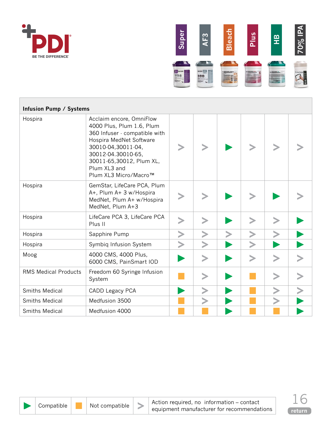



| <b>Infusion Pump / Systems</b> |                                                                                                                                                                                                                                    |  |  |  |
|--------------------------------|------------------------------------------------------------------------------------------------------------------------------------------------------------------------------------------------------------------------------------|--|--|--|
| Hospira                        | Acclaim encore, OmniFlow<br>4000 Plus, Plum 1.6, Plum<br>360 Infuser - compatible with<br>Hospira MedNet Software<br>30010-04,30011-04,<br>30012-04.30010-65,<br>30011-65,30012, Plum XL,<br>Plum XL3 and<br>Plum XL3 Micro/Macro™ |  |  |  |
| Hospira                        | GemStar, LifeCare PCA, Plum<br>A+, Plum A+ 3 w/Hospira<br>MedNet, Plum A+ w/Hospira<br>MedNet, Plum A+3                                                                                                                            |  |  |  |
| Hospira                        | LifeCare PCA 3, LifeCare PCA<br>Plus II                                                                                                                                                                                            |  |  |  |
| Hospira                        | Sapphire Pump                                                                                                                                                                                                                      |  |  |  |
| Hospira                        | Symbiq Infusion System                                                                                                                                                                                                             |  |  |  |
| Moog                           | 4000 CMS, 4000 Plus,<br>6000 CMS, PainSmart IOD                                                                                                                                                                                    |  |  |  |
| <b>RMS Medical Products</b>    | Freedom 60 Syringe Infusion<br>System                                                                                                                                                                                              |  |  |  |
| Smiths Medical                 | CADD Legacy PCA                                                                                                                                                                                                                    |  |  |  |
| <b>Smiths Medical</b>          | Medfusion 3500                                                                                                                                                                                                                     |  |  |  |
| <b>Smiths Medical</b>          | Medfusion 4000                                                                                                                                                                                                                     |  |  |  |



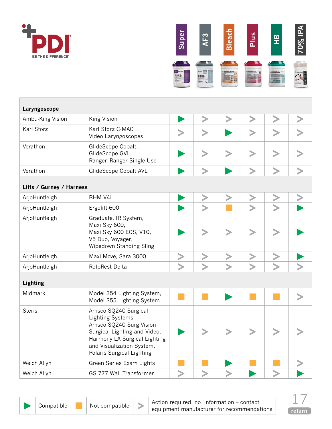<span id="page-16-0"></span>



| Laryngoscope             |                                                                                                                                                                                                |  |  |  |  |  |  |  |
|--------------------------|------------------------------------------------------------------------------------------------------------------------------------------------------------------------------------------------|--|--|--|--|--|--|--|
| Ambu-King Vision         | King Vision                                                                                                                                                                                    |  |  |  |  |  |  |  |
| Karl Storz               | Karl Storz C-MAC<br>Video Laryngoscopes                                                                                                                                                        |  |  |  |  |  |  |  |
| Verathon                 | GlideScope Cobalt,<br>GlideScope GVL,<br>Ranger, Ranger Single Use                                                                                                                             |  |  |  |  |  |  |  |
| Verathon                 | GlideScope Cobalt AVL                                                                                                                                                                          |  |  |  |  |  |  |  |
| Lifts / Gurney / Harness |                                                                                                                                                                                                |  |  |  |  |  |  |  |
| ArjoHuntleigh            | BHM V4i                                                                                                                                                                                        |  |  |  |  |  |  |  |
| ArjoHuntleigh            | Ergolift-600                                                                                                                                                                                   |  |  |  |  |  |  |  |
| ArjoHuntleigh            | Graduate, IR System,<br>Maxi Sky 600,<br>Maxi Sky 600 ECS, V10,<br>V5 Duo, Voyager,<br>Wipedown Standing Sling                                                                                 |  |  |  |  |  |  |  |
| ArjoHuntleigh            | Maxi Move, Sara 3000                                                                                                                                                                           |  |  |  |  |  |  |  |
| ArjoHuntleigh            | RotoRest Delta                                                                                                                                                                                 |  |  |  |  |  |  |  |
| Lighting                 |                                                                                                                                                                                                |  |  |  |  |  |  |  |
| Midmark                  | Model 354 Lighting System,<br>Model 355 Lighting System                                                                                                                                        |  |  |  |  |  |  |  |
| <b>Steris</b>            | Amsco SQ240 Surgical<br>Lighting Systems,<br>Amsco SQ240 SurgiVision<br>Surgical Lighting and Video,<br>Harmony LA Surgical Lighting<br>and Visualization System,<br>Polaris Surgical Lighting |  |  |  |  |  |  |  |
| Welch Allyn              | Green Series Exam Lights                                                                                                                                                                       |  |  |  |  |  |  |  |
| Welch Allyn              | GS 777 Wall Transformer                                                                                                                                                                        |  |  |  |  |  |  |  |



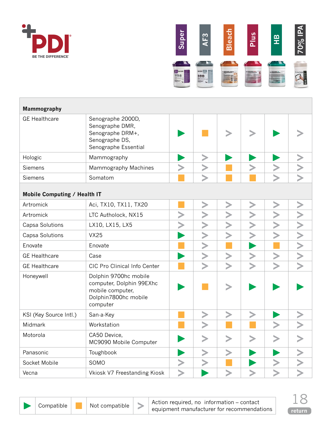<span id="page-17-0"></span>



| <b>Mammography</b>           |                                                                                                           |  |  |  |
|------------------------------|-----------------------------------------------------------------------------------------------------------|--|--|--|
| <b>GE Healthcare</b>         | Senographe 2000D,<br>Senographe DMR,<br>Senographe DRM+,<br>Senographe DS,<br>Senographe Essential        |  |  |  |
| Hologic                      | Mammography                                                                                               |  |  |  |
| <b>Siemens</b>               | Mammography Machines                                                                                      |  |  |  |
| Siemens                      | Somatom                                                                                                   |  |  |  |
| Mobile Computing / Health IT |                                                                                                           |  |  |  |
| Artromick                    | Aci, TX10, TX11, TX20                                                                                     |  |  |  |
| Artromick                    | LTC Autholock, NX15                                                                                       |  |  |  |
| Capsa Solutions              | LX10, LX15, LX5                                                                                           |  |  |  |
| Capsa Solutions              | <b>VX25</b>                                                                                               |  |  |  |
| Enovate                      | Enovate                                                                                                   |  |  |  |
| <b>GE Healthcare</b>         | Case                                                                                                      |  |  |  |
| <b>GE Healthcare</b>         | CIC Pro Clinical Info Center                                                                              |  |  |  |
| Honeywell                    | Dolphin 9700hc mobile<br>computer, Dolphin 99EXhc<br>mobile computer,<br>Dolphin7800hc mobile<br>computer |  |  |  |
| KSI (Key Source Intl.)       | San-a-Key                                                                                                 |  |  |  |
| Midmark                      | Workstation                                                                                               |  |  |  |
| Motorola                     | CA50 Device,<br>MC9090 Mobile Computer                                                                    |  |  |  |
| Panasonic                    | Toughbook                                                                                                 |  |  |  |
| Socket Mobile                | SOMO                                                                                                      |  |  |  |
| Vecna                        | Vkiosk V7 Freestanding Kiosk                                                                              |  |  |  |



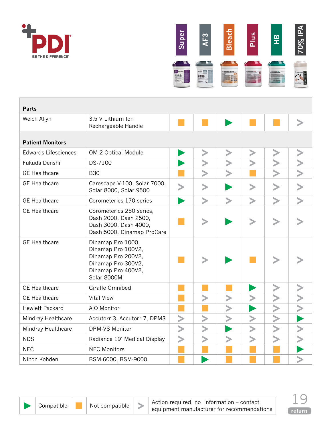<span id="page-18-0"></span>



| <b>Parts</b>                |                                                                                                                          |  |  |  |  |  |  |  |
|-----------------------------|--------------------------------------------------------------------------------------------------------------------------|--|--|--|--|--|--|--|
| Welch Allyn                 | 3.5 V Lithium Ion<br>Rechargeable Handle                                                                                 |  |  |  |  |  |  |  |
| <b>Patient Monitors</b>     |                                                                                                                          |  |  |  |  |  |  |  |
| <b>Edwards Lifesciences</b> | OM-2 Optical Module                                                                                                      |  |  |  |  |  |  |  |
| Fukuda Denshi               | DS-7100                                                                                                                  |  |  |  |  |  |  |  |
| <b>GE Healthcare</b>        | <b>B30</b>                                                                                                               |  |  |  |  |  |  |  |
| <b>GE</b> Healthcare        | Carescape V-100, Solar 7000,<br>Solar 8000, Solar 9500                                                                   |  |  |  |  |  |  |  |
| <b>GE Healthcare</b>        | Corometerics 170 series                                                                                                  |  |  |  |  |  |  |  |
| <b>GE Healthcare</b>        | Corometerics 250 series,<br>Dash 2000, Dash 2500,<br>Dash 3000, Dash 4000,<br>Dash 5000, Dinamap ProCare                 |  |  |  |  |  |  |  |
| <b>GE Healthcare</b>        | Dinamap Pro 1000,<br>Dinamap Pro 100V2,<br>Dinamap Pro 200V2,<br>Dinamap Pro 300V2,<br>Dinamap Pro 400V2,<br>Solar 8000M |  |  |  |  |  |  |  |
| <b>GE Healthcare</b>        | Giraffe Omnibed                                                                                                          |  |  |  |  |  |  |  |
| <b>GE Healthcare</b>        | <b>Vital View</b>                                                                                                        |  |  |  |  |  |  |  |
| <b>Hewlett Packard</b>      | AiO Monitor                                                                                                              |  |  |  |  |  |  |  |
| Mindray Healthcare          | Accutorr 3, Accutorr 7, DPM3                                                                                             |  |  |  |  |  |  |  |
| Mindray Healthcare          | DPM-VS Monitor                                                                                                           |  |  |  |  |  |  |  |
| <b>NDS</b>                  | Radiance 19" Medical Display                                                                                             |  |  |  |  |  |  |  |
| <b>NEC</b>                  | <b>NEC Monitors</b>                                                                                                      |  |  |  |  |  |  |  |
| Nihon Kohden                | BSM-6000, BSM-9000                                                                                                       |  |  |  |  |  |  |  |

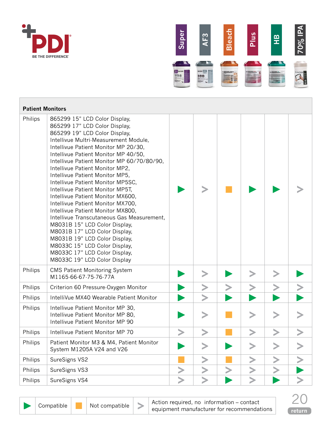



| <b>Patient Monitors</b> |                                                                                                                                                                                                                                                                                                                                                                                                                                                                                                                                                                                                                                                                                                                                                                                         |  |  |  |
|-------------------------|-----------------------------------------------------------------------------------------------------------------------------------------------------------------------------------------------------------------------------------------------------------------------------------------------------------------------------------------------------------------------------------------------------------------------------------------------------------------------------------------------------------------------------------------------------------------------------------------------------------------------------------------------------------------------------------------------------------------------------------------------------------------------------------------|--|--|--|
| Philips                 | 865299 15" LCD Color Display,<br>865299 17" LCD Color Display,<br>865299 19" LCD Color Display,<br>Intellivue Multri-Measurement Module,<br>Intellivue Patient Monitor MP 20/30,<br>Intellivue Patient Monitor MP 40/50,<br>Intellivue Patient Monitor MP 60/70/80/90,<br>Intellivue Patient Monitor MP2,<br>Intellivue Patient Monitor MP5,<br>Intellivue Patient Monitor MP5SC,<br>Intellivue Patient Monitor MP5T,<br>Intellivue Patient Monitor MX600,<br>Intellivue Patient Monitor MX700,<br>Intellivue Patient Monitor MX800,<br>Intellivue Transcutaneous Gas Measurement,<br>M8031B 15" LCD Color Display,<br>M8031B 17" LCD Color Display,<br>M8031B 19" LCD Color Display,<br>M8033C 15" LCD Color Display,<br>M8033C 17" LCD Color Display,<br>M8033C 19" LCD Color Display |  |  |  |
| Philips                 | <b>CMS Patient Monitoring System</b><br>M1165-66-67-75-76-77A                                                                                                                                                                                                                                                                                                                                                                                                                                                                                                                                                                                                                                                                                                                           |  |  |  |
| Philips                 | Criterion 60 Pressure Oxygen Monitor                                                                                                                                                                                                                                                                                                                                                                                                                                                                                                                                                                                                                                                                                                                                                    |  |  |  |
| Philips                 | IntelliVue MX40 Wearable Patient Monitor                                                                                                                                                                                                                                                                                                                                                                                                                                                                                                                                                                                                                                                                                                                                                |  |  |  |
| Philips                 | Intellivue Patient Monitor MP 30,<br>Intellivue Patient Monitor MP 80,<br>Intellivue Patient Monitor MP 90                                                                                                                                                                                                                                                                                                                                                                                                                                                                                                                                                                                                                                                                              |  |  |  |
| Philips                 | Intellivue Patient Monitor MP 70                                                                                                                                                                                                                                                                                                                                                                                                                                                                                                                                                                                                                                                                                                                                                        |  |  |  |
| Philips                 | Patient Monitor M3 & M4, Patient Monitor<br>System M1205A V24 and V26                                                                                                                                                                                                                                                                                                                                                                                                                                                                                                                                                                                                                                                                                                                   |  |  |  |
| Philips                 | SureSigns VS2                                                                                                                                                                                                                                                                                                                                                                                                                                                                                                                                                                                                                                                                                                                                                                           |  |  |  |
| Philips                 | SureSigns VS3                                                                                                                                                                                                                                                                                                                                                                                                                                                                                                                                                                                                                                                                                                                                                                           |  |  |  |
| Philips                 | SureSigns VS4                                                                                                                                                                                                                                                                                                                                                                                                                                                                                                                                                                                                                                                                                                                                                                           |  |  |  |



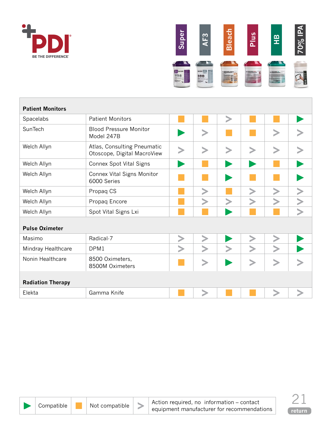<span id="page-20-0"></span>



| <b>Patient Monitors</b>  |                                                            |  |        |        |  |
|--------------------------|------------------------------------------------------------|--|--------|--------|--|
| Spacelabs                | <b>Patient Monitors</b>                                    |  | $\geq$ |        |  |
| SunTech                  | <b>Blood Pressure Monitor</b><br>Model 247B                |  |        | $\, >$ |  |
| Welch Allyn              | Atlas, Consulting Pneumatic<br>Otoscope, Digital MacroView |  |        |        |  |
| Welch Allyn              | Connex Spot Vital Signs                                    |  |        |        |  |
| Welch Allyn              | Connex Vital Signs Monitor<br>6000 Series                  |  |        |        |  |
| Welch Allyn              | Propaq CS                                                  |  |        |        |  |
| Welch Allyn              | Propaq Encore                                              |  |        |        |  |
| Welch Allyn              | Spot Vital Signs Lxi                                       |  |        |        |  |
| <b>Pulse Oximeter</b>    |                                                            |  |        |        |  |
| Masimo                   | Radical-7                                                  |  |        |        |  |
| Mindray Healthcare       | DPM1                                                       |  |        |        |  |
| Nonin Healthcare         | 8500 Oximeters,<br>8500M Oximeters                         |  |        |        |  |
| <b>Radiation Therapy</b> |                                                            |  |        |        |  |
| Elekta                   | Gamma Knife                                                |  |        |        |  |



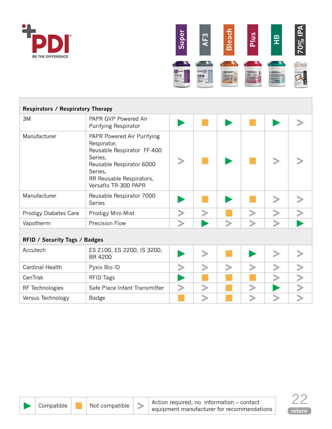<span id="page-21-0"></span>



| <b>Respirators / Respiratory Therapy</b> |                                                                                                                                                                               |  |  |  |
|------------------------------------------|-------------------------------------------------------------------------------------------------------------------------------------------------------------------------------|--|--|--|
| 3M                                       | PAPR GVP Powered Air<br>Purifying Respirator                                                                                                                                  |  |  |  |
| Manufacturer                             | PAPR Powered Air Purifying<br>Respirator,<br>Reusable Respirator FF-400<br>Series,<br>Reusable Respirator 6000<br>Series,<br>RR Reusable Respirators,<br>Versaflo TR-300 PAPR |  |  |  |
| Manufacturer                             | Reusable Respirator 7000<br><b>Series</b>                                                                                                                                     |  |  |  |
| <b>Prodigy Diabetes Care</b>             | Prodigy Mini-Mist                                                                                                                                                             |  |  |  |
| Vapotherm                                | <b>Precision Flow</b>                                                                                                                                                         |  |  |  |
| <b>RFID / Security Tags / Badges</b>     |                                                                                                                                                                               |  |  |  |
| Accutech                                 | ES 2100, ES 2200, IS 3200,<br>BR 4200                                                                                                                                         |  |  |  |
| <b>Cardinal Health</b>                   | Pyxis Bio ID                                                                                                                                                                  |  |  |  |
| CenTrak                                  | <b>RFID Tags</b>                                                                                                                                                              |  |  |  |
| RF Technologies                          | Safe Place Infant Transmitter                                                                                                                                                 |  |  |  |
| Versus Technology                        | Badge                                                                                                                                                                         |  |  |  |

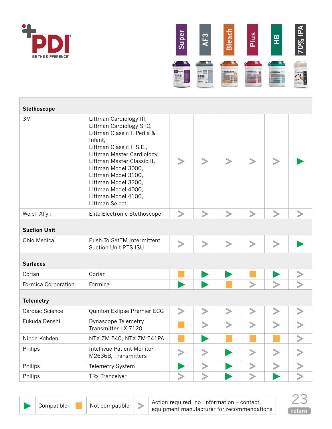<span id="page-22-0"></span>



| Stethoscope         |                                                                                                                                                                                                                                                                                                                          |   |        |        |        |        |  |
|---------------------|--------------------------------------------------------------------------------------------------------------------------------------------------------------------------------------------------------------------------------------------------------------------------------------------------------------------------|---|--------|--------|--------|--------|--|
| 3M                  | Littman Cardiology III,<br>Littman Cardiology STC,<br>Littman Classic II Pedia &<br>Infant,<br>Littman Classic II S.E.,<br>Littman Master Cardiology,<br>Littman Master Classic II,<br>Littman Model 3000,<br>Littman Model 3100,<br>Littman Model 3200,<br>Littman Model 4000,<br>Littman Model 4100,<br>Littman Select |   |        |        |        |        |  |
| Welch Allyn         | Elite Electronic Stethoscope                                                                                                                                                                                                                                                                                             |   | ゝ      | ゝ      | $\geq$ | $\geq$ |  |
| <b>Suction Unit</b> |                                                                                                                                                                                                                                                                                                                          |   |        |        |        |        |  |
| <b>Ohio Medical</b> | Push-To-SetTM Intermittent<br>Suction Unit PTS-ISU                                                                                                                                                                                                                                                                       |   | $\geq$ | $\geq$ | $\geq$ | $\geq$ |  |
| <b>Surfaces</b>     |                                                                                                                                                                                                                                                                                                                          |   |        |        |        |        |  |
| Corian              | Corian                                                                                                                                                                                                                                                                                                                   |   |        |        |        |        |  |
| Formica Corporation | Formica                                                                                                                                                                                                                                                                                                                  |   |        |        |        |        |  |
| <b>Telemetry</b>    |                                                                                                                                                                                                                                                                                                                          |   |        |        |        |        |  |
| Cardiac Science     | Quinton Exlipse Premier ECG                                                                                                                                                                                                                                                                                              | ⋗ | ⋗      | ⋗      | ⋗      | ⋗      |  |
| Fukuda Denshi       | Dynascope Telemetry<br>Transmitter LX-7120                                                                                                                                                                                                                                                                               |   |        |        |        |        |  |
| Nihon Kohden        | NTX ZM-540, NTX ZM-541PA                                                                                                                                                                                                                                                                                                 |   |        |        |        |        |  |
| Philips             | Intellivue Patient Monitor<br>M2636B, Transmitters                                                                                                                                                                                                                                                                       |   | $\, >$ |        |        |        |  |
| Philips             | Telemetry System                                                                                                                                                                                                                                                                                                         |   |        |        |        |        |  |
| Philips             | <b>TRx Tranceiver</b>                                                                                                                                                                                                                                                                                                    |   |        |        |        |        |  |



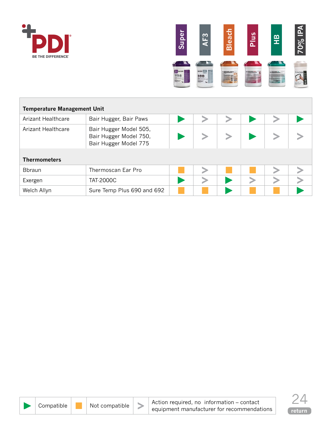<span id="page-23-0"></span>



| <b>Temperature Management Unit</b> |                                                                           |  |  |  |  |  |  |  |  |  |
|------------------------------------|---------------------------------------------------------------------------|--|--|--|--|--|--|--|--|--|
| Arizant Healthcare                 | Bair Hugger, Bair Paws                                                    |  |  |  |  |  |  |  |  |  |
| <b>Arizant Healthcare</b>          | Bair Hugger Model 505,<br>Bair Hugger Model 750,<br>Bair Hugger Model 775 |  |  |  |  |  |  |  |  |  |
| <b>Thermometers</b>                |                                                                           |  |  |  |  |  |  |  |  |  |
| <b>B</b> braun                     | Thermoscan Ear Pro                                                        |  |  |  |  |  |  |  |  |  |
| Exergen                            | <b>TAT-2000C</b>                                                          |  |  |  |  |  |  |  |  |  |
| Welch Allyn                        | Sure Temp Plus 690 and 692                                                |  |  |  |  |  |  |  |  |  |



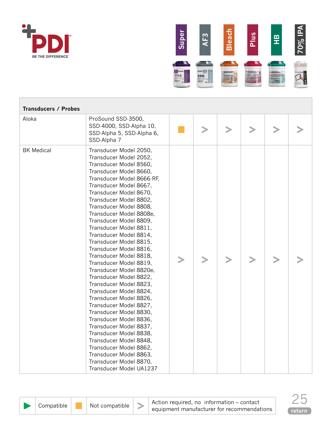<span id="page-24-0"></span>



| <b>Transducers / Probes</b> |                                                                                                                                                                                                                                                                                                                                                                                                                                                                                                                                                                                                                                                                                                                                                                                                                                                                    |  |        |   |  |
|-----------------------------|--------------------------------------------------------------------------------------------------------------------------------------------------------------------------------------------------------------------------------------------------------------------------------------------------------------------------------------------------------------------------------------------------------------------------------------------------------------------------------------------------------------------------------------------------------------------------------------------------------------------------------------------------------------------------------------------------------------------------------------------------------------------------------------------------------------------------------------------------------------------|--|--------|---|--|
| Aloka                       | ProSound SSD-3500,<br>SSD-4000, SSD-Alpha 10,<br>SSD-Alpha 5, SSD-Alpha 6,<br>SSD-Alpha 7                                                                                                                                                                                                                                                                                                                                                                                                                                                                                                                                                                                                                                                                                                                                                                          |  | $\, >$ | ⋗ |  |
| <b>BK Medical</b>           | Transducer Model 2050,<br>Transducer Model 2052,<br>Transducer Model 8560,<br>Transducer Model 8660,<br>Transducer Model 8666-RF,<br>Transducer Model 8667,<br>Transducer Model 8670,<br>Transducer Model 8802,<br>Transducer Model 8808,<br>Transducer Model 8808e,<br>Transducer Model 8809,<br>Transducer Model 8811,<br>Transducer Model 8814,<br>Transducer Model 8815,<br>Transducer Model 8816,<br>Transducer Model 8818,<br>Transducer Model 8819,<br>Transducer Model 8820e,<br>Transducer Model 8822,<br>Transducer Model 8823,<br>Transducer Model 8824,<br>Transducer Model 8826,<br>Transducer Model 8827,<br>Transducer Model 8830,<br>Transducer Model 8836,<br>Transducer Model 8837,<br>Transducer Model 8838,<br>Transducer Model 8848,<br>Transducer Model 8862,<br>Transducer Model 8863,<br>Transducer Model 8870,<br>Transducer Model UA1237 |  |        |   |  |



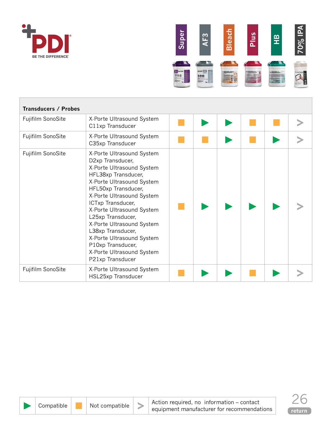



| <b>Transducers / Probes</b> |                                                                                                                                                                                                                                                                                                                                                                                                                |  |  |  |
|-----------------------------|----------------------------------------------------------------------------------------------------------------------------------------------------------------------------------------------------------------------------------------------------------------------------------------------------------------------------------------------------------------------------------------------------------------|--|--|--|
| Fujifilm SonoSite           | X-Porte Ultrasound System<br>C11xp Transducer                                                                                                                                                                                                                                                                                                                                                                  |  |  |  |
| Fujifilm SonoSite           | X-Porte Ultrasound System<br>C35xp Transducer                                                                                                                                                                                                                                                                                                                                                                  |  |  |  |
| Fujifilm SonoSite           | X-Porte Ultrasound System<br>D2xp Transducer,<br>X-Porte Ultrasound System<br>HFL38xp Transducer,<br>X-Porte Ultrasound System<br>HFL50xp Transducer,<br>X-Porte Ultrasound System<br>ICTxp Transducer,<br>X-Porte Ultrasound System<br>L25xp Transducer,<br>X-Porte Ultrasound System<br>L38xp Transducer,<br>X-Porte Ultrasound System<br>P10xp Transducer,<br>X-Porte Ultrasound System<br>P21xp Transducer |  |  |  |
| Fujifilm SonoSite           | X-Porte Ultrasound System<br>HSL25xp Transducer                                                                                                                                                                                                                                                                                                                                                                |  |  |  |



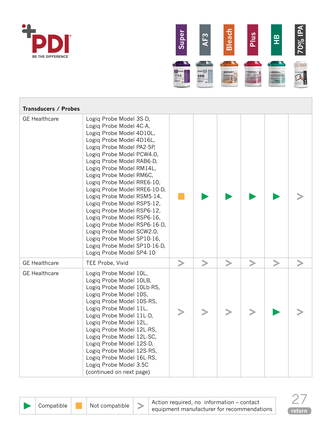



| <b>Transducers / Probes</b> |                                                                                                                                                                                                                                                                                                                                                                                                                                                                                                                                                                                                       |   |   |   |           |  |
|-----------------------------|-------------------------------------------------------------------------------------------------------------------------------------------------------------------------------------------------------------------------------------------------------------------------------------------------------------------------------------------------------------------------------------------------------------------------------------------------------------------------------------------------------------------------------------------------------------------------------------------------------|---|---|---|-----------|--|
| <b>GE Healthcare</b>        | Logiq Probe Model 3S-D,<br>Logiq Probe Model 4C-A,<br>Logiq Probe Model 4D10L,<br>Logiq Probe Model 4D16L,<br>Logiq Probe Model PA2-5P,<br>Logiq Probe Model PCW4.0,<br>Logiq Probe Model RAB6-D,<br>Logiq Probe Model RM14L,<br>Logiq Probe Model RM6C,<br>Logiq Probe Model RRE6-10,<br>Logiq Probe Model RRE6-10-D,<br>Logiq Probe Model RSM5-14,<br>Logiq Probe Model RSP5-12,<br>Logiq Probe Model RSP6-12,<br>Logiq Probe Model RSP6-16,<br>Logiq Probe Model RSP6-16-D,<br>Logiq Probe Model SCW2.0,<br>Logiq Probe Model SP10-16,<br>Logiq Probe Model SP10-16-D,<br>Logiq Probe Model SP4-10 |   |   |   |           |  |
| <b>GE Healthcare</b>        | TEE Probe, Vivid                                                                                                                                                                                                                                                                                                                                                                                                                                                                                                                                                                                      | ⋗ | > | > | $\, > \,$ |  |
| <b>GE</b> Healthcare        | Logiq Probe Model 10L,<br>Logiq Probe Model 10LB,<br>Logiq Probe Model 10Lb-RS,<br>Logiq Probe Model 10S,<br>Logiq Probe Model 10S-RS,<br>Logiq Probe Model 11L,<br>Logiq Probe Model 11L-D,<br>Logiq Probe Model 12L,<br>Logiq Probe Model 12L-RS,<br>Logiq Probe Model 12L-SC,<br>Logiq Probe Model 12S-D,<br>Logiq Probe Model 12S-RS,<br>Logiq Probe Model 16L-RS,<br>Logiq Probe Model 3.5C<br>(continued on next page)                                                                                                                                                                          |   |   |   |           |  |



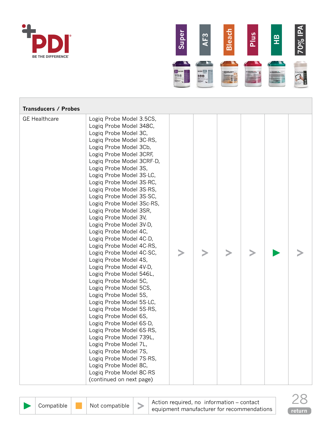



| <b>Transducers / Probes</b> |                                                                                                                                                                                                                                                                                                                                                                                                                                                                                                                                                                                                                                                                                                                                                                                                                                                                                                                                                                                                                                                        |  |  |  |
|-----------------------------|--------------------------------------------------------------------------------------------------------------------------------------------------------------------------------------------------------------------------------------------------------------------------------------------------------------------------------------------------------------------------------------------------------------------------------------------------------------------------------------------------------------------------------------------------------------------------------------------------------------------------------------------------------------------------------------------------------------------------------------------------------------------------------------------------------------------------------------------------------------------------------------------------------------------------------------------------------------------------------------------------------------------------------------------------------|--|--|--|
| <b>GE Healthcare</b>        | Logiq Probe Model 3.5CS,<br>Logiq Probe Model 348C,<br>Logiq Probe Model 3C,<br>Logiq Probe Model 3C-RS,<br>Logiq Probe Model 3Cb,<br>Logiq Probe Model 3CRF,<br>Logiq Probe Model 3CRF-D,<br>Logiq Probe Model 3S,<br>Logiq Probe Model 3S-LC,<br>Logiq Probe Model 3S-RC,<br>Logiq Probe Model 3S-RS,<br>Logiq Probe Model 3S-SC,<br>Logiq Probe Model 3Sc-RS,<br>Logiq Probe Model 3SR,<br>Logiq Probe Model 3V,<br>Logiq Probe Model 3V-D,<br>Logiq Probe Model 4C,<br>Logiq Probe Model 4C-D,<br>Logiq Probe Model 4C-RS,<br>Logiq Probe Model 4C-SC,<br>Logiq Probe Model 4S,<br>Logiq Probe Model 4V-D,<br>Logiq Probe Model 546L,<br>Logiq Probe Model 5C,<br>Logiq Probe Model 5CS,<br>Logiq Probe Model 5S,<br>Logiq Probe Model 5S-LC,<br>Logiq Probe Model 5S-RS,<br>Logiq Probe Model 6S,<br>Logiq Probe Model 6S-D,<br>Logiq Probe Model 6S-RS,<br>Logiq Probe Model 739L,<br>Logiq Probe Model 7L,<br>Logiq Probe Model 7S,<br>Logiq Probe Model 7S-RS,<br>Logiq Probe Model 8C,<br>Logiq Probe Model 8C-RS<br>(continued on next page) |  |  |  |

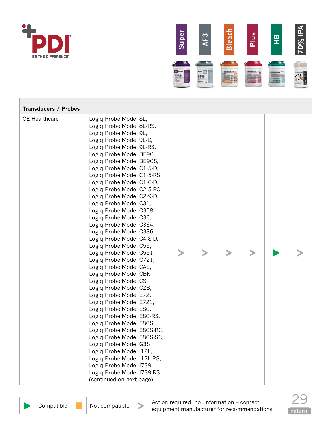



| <b>Transducers / Probes</b> |                                                                                                                                                                                                                                                                                                                                                                                                                                                                                                                                                                                                                                                                                                                                                                                                                                                                                                                                                                                                                                                                                |  |  |  |
|-----------------------------|--------------------------------------------------------------------------------------------------------------------------------------------------------------------------------------------------------------------------------------------------------------------------------------------------------------------------------------------------------------------------------------------------------------------------------------------------------------------------------------------------------------------------------------------------------------------------------------------------------------------------------------------------------------------------------------------------------------------------------------------------------------------------------------------------------------------------------------------------------------------------------------------------------------------------------------------------------------------------------------------------------------------------------------------------------------------------------|--|--|--|
| <b>GE Healthcare</b>        | Logiq Probe Model 8L,<br>Logiq Probe Model 8L-RS,<br>Logiq Probe Model 9L,<br>Logiq Probe Model 9L-D,<br>Logiq Probe Model 9L-RS,<br>Logiq Probe Model BE9C,<br>Logiq Probe Model BE9CS,<br>Logiq Probe Model C1-5-D,<br>Logiq Probe Model C1-5-RS,<br>Logiq Probe Model C1-6-D,<br>Logiq Probe Model C2-5-RC,<br>Logiq Probe Model C2-9-D,<br>Logiq Probe Model C31,<br>Logiq Probe Model C358,<br>Logiq Probe Model C36,<br>Logiq Probe Model C364,<br>Logiq Probe Model C386,<br>Logiq Probe Model C4-8-D,<br>Logiq Probe Model C55,<br>Logiq Probe Model C551,<br>Logiq Probe Model C721,<br>Logiq Probe Model CAE,<br>Logiq Probe Model CBF,<br>Logiq Probe Model CS,<br>Logiq Probe Model CZB,<br>Logiq Probe Model E72,<br>Logiq Probe Model E721,<br>Logiq Probe Model E8C,<br>Logiq Probe Model E8C-RS,<br>Logiq Probe Model E8CS,<br>Logiq Probe Model E8CS-RC,<br>Logiq Probe Model E8CS-SC,<br>Logiq Probe Model G3S,<br>Logiq Probe Model i12L,<br>Logiq Probe Model i12L-RS,<br>Logiq Probe Model 1739,<br>Logiq Probe Model I739-RS<br>(continued on next page) |  |  |  |



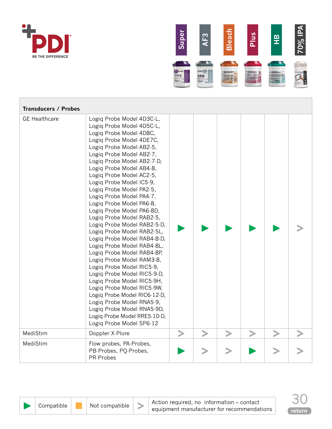



| <b>Transducers / Probes</b> |                                                                                                                                                                                                                                                                                                                                                                                                                                                                                                                                                                                                                                                                                                                                                                                                                                                                                                           |  |  |  |
|-----------------------------|-----------------------------------------------------------------------------------------------------------------------------------------------------------------------------------------------------------------------------------------------------------------------------------------------------------------------------------------------------------------------------------------------------------------------------------------------------------------------------------------------------------------------------------------------------------------------------------------------------------------------------------------------------------------------------------------------------------------------------------------------------------------------------------------------------------------------------------------------------------------------------------------------------------|--|--|--|
| <b>GE Healthcare</b>        | Logiq Probe Model 4D3C-L,<br>Logiq Probe Model 4D5C-L,<br>Logiq Probe Model 4D8C,<br>Logiq Probe Model 4DE7C,<br>Logiq Probe Model AB2-5,<br>Logiq Probe Model AB2-7,<br>Logiq Probe Model AB2-7-D,<br>Logiq Probe Model AB4-8,<br>Logiq Probe Model AC2-5,<br>Logiq Probe Model IC5-9,<br>Logiq Probe Model PA2-5,<br>Logiq Probe Model PA4-7,<br>Logiq Probe Model PA6-8,<br>Logiq Probe Model PA6-8D,<br>Logiq Probe Model RAB2-5,<br>Logiq Probe Model RAB2-5-D,<br>Logiq Probe Model RAB2-5L,<br>Logiq Probe Model RAB4-8-D,<br>Logiq Probe Model RAB4-8L,<br>Logiq Probe Model RAB4-8P,<br>Logiq Probe Model RAM3-8,<br>Logiq Probe Model RIC5-9,<br>Logiq Probe Model RIC5-9-D,<br>Logiq Probe Model RIC5-9H,<br>Logiq Probe Model RIC5-9W,<br>Logiq Probe Model RIC6-12-D,<br>Logiq Probe Model RNA5-9,<br>Logiq Probe Model RNA5-9D,<br>Logiq Probe Model RRE5-10-D,<br>Logiq Probe Model SP6-12 |  |  |  |
| MediStim                    | Doppler X-Plore                                                                                                                                                                                                                                                                                                                                                                                                                                                                                                                                                                                                                                                                                                                                                                                                                                                                                           |  |  |  |
| MediStim                    | Flow probes, PA-Probes,<br>PB-Probes, PQ-Probes,<br>PR-Probes                                                                                                                                                                                                                                                                                                                                                                                                                                                                                                                                                                                                                                                                                                                                                                                                                                             |  |  |  |



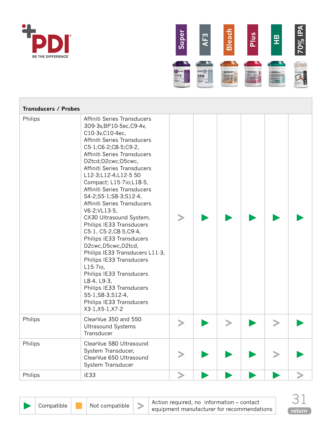



| <b>Transducers / Probes</b> |                                                                                                                                                                                                                                                                                                                                                                                                                                                                                                                                                                                                                                                                                                                                                   |  |  |  |
|-----------------------------|---------------------------------------------------------------------------------------------------------------------------------------------------------------------------------------------------------------------------------------------------------------------------------------------------------------------------------------------------------------------------------------------------------------------------------------------------------------------------------------------------------------------------------------------------------------------------------------------------------------------------------------------------------------------------------------------------------------------------------------------------|--|--|--|
| Philips                     | Affiniti Series Transducers<br>3D9-3v, BP10-5ec, C9-4v,<br>C10-3v, C10-4ec,<br>Affiniti Series Transducers<br>C5-1;C6-2;C8-5;C9-2,<br>Affiniti Series Transducers<br>D2tcd;D2cwc;D5cwc,<br>Affiniti Series Transducers<br>L12-3;L12-4;L12-5 50<br>Compact; L15-7io;L18-5,<br>Affiniti Series Transducers<br>S4-2;S5-1;S8-3;S12-4,<br>Affiniti Series Transducers<br>V6-2; VL13-5,<br>CX30 Ultrasound System,<br>Philips IE33 Transducers<br>C5-1, C5-2, C8-5, C9-4,<br>Philips IE33 Transducers<br>D2cwc, D5cwc, D2tcd,<br>Philips IE33 Transducers L11-3,<br>Philips IE33 Transducers<br>$L15-7i0,$<br>Philips IE33 Transducers<br>L8-4, L9-3,<br>Philips IE33 Transducers<br>S5-1, S8-3, S12-4,<br>Philips IE33 Transducers<br>X3-1, X5-1, X7-2 |  |  |  |
| Philips                     | ClearVue 350 and 550<br><b>Ultrasound Systems</b><br>Transducer                                                                                                                                                                                                                                                                                                                                                                                                                                                                                                                                                                                                                                                                                   |  |  |  |
| Philips                     | ClearVue 580 Ultrasound<br>System Transducer,<br>ClearVue 650 Ultrasound<br>System Transducer                                                                                                                                                                                                                                                                                                                                                                                                                                                                                                                                                                                                                                                     |  |  |  |
| Philips                     | iE33                                                                                                                                                                                                                                                                                                                                                                                                                                                                                                                                                                                                                                                                                                                                              |  |  |  |



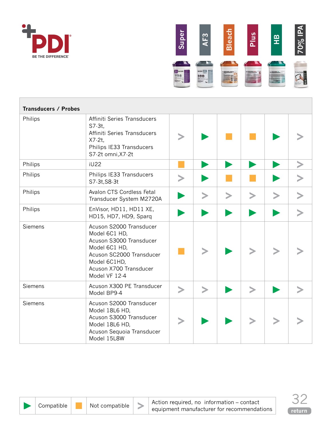



| <b>Transducers / Probes</b> |                                                                                                                                                                             |        |        |        |           |        |  |
|-----------------------------|-----------------------------------------------------------------------------------------------------------------------------------------------------------------------------|--------|--------|--------|-----------|--------|--|
| Philips                     | Affiniti Series Transducers<br>$S7.3t$ ,<br>Affiniti Series Transducers<br>$X7-2t$ ,<br>Philips IE33 Transducers<br>S7-2t omni, X7-2t                                       |        |        |        |           |        |  |
| Philips                     | <b>iU22</b>                                                                                                                                                                 |        |        |        |           |        |  |
| Philips                     | Philips IE33 Transducers<br>S7-3t, S8-3t                                                                                                                                    |        |        |        |           |        |  |
| Philips                     | Avalon CTS Cordless Fetal<br>Transducer System M2720A                                                                                                                       |        | $\geq$ | $\geq$ | $\, > \,$ | $\, >$ |  |
| Philips                     | EnVisor, HD11, HD11 XE,<br>HD15, HD7, HD9, Sparq                                                                                                                            |        |        |        |           |        |  |
| Siemens                     | Acuson S2000 Transducer<br>Model 6C1 HD,<br>Acuson S3000 Transducer<br>Model 6C1 HD,<br>Acuson SC2000 Transducer<br>Model 6C1HD,<br>Acuson X700 Transducer<br>Model VF 12-4 |        |        |        |           |        |  |
| Siemens                     | Acuson X300 PE Transducer<br>Model BP9-4                                                                                                                                    | $\geq$ | $\geq$ |        | $\, >$    |        |  |
| Siemens                     | Acuson S2000 Transducer<br>Model 18L6 HD,<br>Acuson S3000 Transducer<br>Model 18L6 HD,<br>Acuson Sequoia Transducer<br>Model 15L8W                                          |        |        |        |           |        |  |

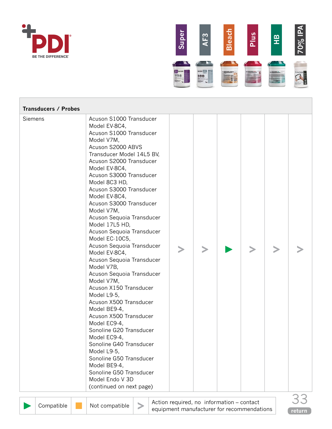



| <b>Transducers / Probes</b> |                                                                                                                                                                                                                                                                                                                                                                                                                                                                                                                                                                                                                                                                                                                                                                                                                                                                                           |  |  |  |
|-----------------------------|-------------------------------------------------------------------------------------------------------------------------------------------------------------------------------------------------------------------------------------------------------------------------------------------------------------------------------------------------------------------------------------------------------------------------------------------------------------------------------------------------------------------------------------------------------------------------------------------------------------------------------------------------------------------------------------------------------------------------------------------------------------------------------------------------------------------------------------------------------------------------------------------|--|--|--|
| Siemens                     | Acuson S1000 Transducer<br>Model EV-8C4,<br>Acuson S1000 Transducer<br>Model V7M,<br>Acuson S2000 ABVS<br>Transducer Model 14L5 BV,<br>Acuson S2000 Transducer<br>Model EV-8C4,<br>Acuson S3000 Transducer<br>Model 8C3 HD,<br>Acuson S3000 Transducer<br>Model EV-8C4,<br>Acuson S3000 Transducer<br>Model V7M,<br>Acuson Sequoia Transducer<br>Model 17L5 HD,<br>Acuson Sequoia Transducer<br>Model EC-10C5,<br>Acuson Sequoia Transducer<br>Model EV-8C4,<br>Acuson Sequoia Transducer<br>Model V7B,<br>Acuson Sequoia Transducer<br>Model V7M,<br>Acuson X150 Transducer<br>Model L9-5,<br>Acuson X500 Transducer<br>Model BE9-4,<br>Acuson X500 Transducer<br>Model EC9-4,<br>Sonoline G20 Transducer<br>Model EC9-4,<br>Sonoline G40 Transducer<br>Model L9-5,<br>Sonoline G50 Transducer<br>Model BE9-4,<br>Sonoline G50 Transducer<br>Model Endo V 3D<br>(continued on next page) |  |  |  |



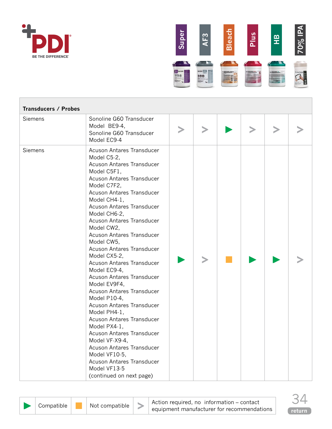



| <b>Transducers / Probes</b> |                                                                                                                                                                                                                                                                                                                                                                                                                                                                                                                                                                                                                                                                                                                                                                             |  |  |  |
|-----------------------------|-----------------------------------------------------------------------------------------------------------------------------------------------------------------------------------------------------------------------------------------------------------------------------------------------------------------------------------------------------------------------------------------------------------------------------------------------------------------------------------------------------------------------------------------------------------------------------------------------------------------------------------------------------------------------------------------------------------------------------------------------------------------------------|--|--|--|
| Siemens                     | Sonoline G60 Transducer<br>Model BE9-4,<br>Sonoline G60 Transducer<br>Model EC9-4                                                                                                                                                                                                                                                                                                                                                                                                                                                                                                                                                                                                                                                                                           |  |  |  |
| Siemens                     | Acuson Antares Transducer<br>Model C5-2,<br>Acuson Antares Transducer<br>Model C5F1,<br>Acuson Antares Transducer<br>Model C7F2,<br>Acuson Antares Transducer<br>Model CH4-1,<br><b>Acuson Antares Transducer</b><br>Model CH6-2,<br>Acuson Antares Transducer<br>Model CW2,<br>Acuson Antares Transducer<br>Model CW5,<br>Acuson Antares Transducer<br>Model CX5-2,<br>Acuson Antares Transducer<br>Model EC9-4,<br>Acuson Antares Transducer<br>Model EV9F4,<br>Acuson Antares Transducer<br>Model P10-4,<br>Acuson Antares Transducer<br>Model PH4-1,<br>Acuson Antares Transducer<br>Model PX4-1,<br>Acuson Antares Transducer<br>Model VF-X9-4,<br>Acuson Antares Transducer<br>Model VF10-5,<br>Acuson Antares Transducer<br>Model VF13-5<br>(continued on next page) |  |  |  |



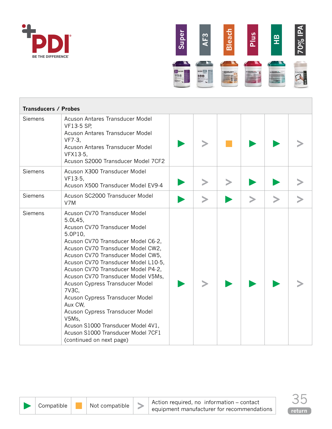



| <b>Transducers / Probes</b> |                                                                                                                                                                                                                                                                                                                                                                                                                                                                                                                                                                     |        |        |        |  |
|-----------------------------|---------------------------------------------------------------------------------------------------------------------------------------------------------------------------------------------------------------------------------------------------------------------------------------------------------------------------------------------------------------------------------------------------------------------------------------------------------------------------------------------------------------------------------------------------------------------|--------|--------|--------|--|
| Siemens                     | Acuson Antares Transducer Model<br><b>VF13-5 SP,</b><br>Acuson Antares Transducer Model<br>VF7.3<br>Acuson Antares Transducer Model<br>VFX13-5,<br>Acuson S2000 Transducer Model 7CF2                                                                                                                                                                                                                                                                                                                                                                               |        |        |        |  |
| Siemens                     | Acuson X300 Transducer Model<br>VF13-5,<br>Acuson X500 Transducer Model EV9-4                                                                                                                                                                                                                                                                                                                                                                                                                                                                                       |        |        |        |  |
| Siemens                     | Acuson SC2000 Transducer Model<br>V7M                                                                                                                                                                                                                                                                                                                                                                                                                                                                                                                               | $\geq$ | $\geq$ | $\geq$ |  |
| Siemens                     | Acuson CV70 Transducer Model<br>5.0L45,<br>Acuson CV70 Transducer Model<br>5.0P10,<br>Acuson CV70 Transducer Model C6-2,<br>Acuson CV70 Transducer Model CW2,<br>Acuson CV70 Transducer Model CW5,<br>Acuson CV70 Transducer Model L10-5,<br>Acuson CV70 Transducer Model P4-2,<br>Acuson CV70 Transducer Model V5Ms,<br>Acuson Cypress Transducer Model<br>7V3C,<br>Acuson Cypress Transducer Model<br>Aux CW,<br>Acuson Cypress Transducer Model<br>V5Ms,<br>Acuson S1000 Transducer Model 4V1,<br>Acuson S1000 Transducer Model 7CF1<br>(continued on next page) |        |        |        |  |

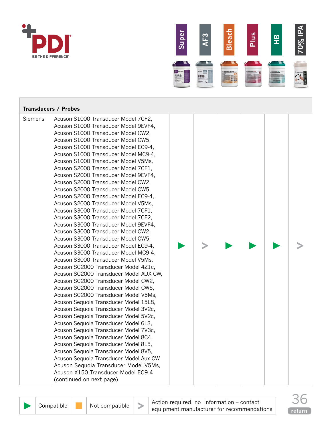



|         | <b>Transducers / Probes</b>                                                                                                                                                                                                                                                                                                                                                                                                                                                                                                                                                                                                                                                                                                                                                                                                                                                                                                                                                                                                                                                                                                                                                                                                                                                                                                                                                                                                                                                                                                                         |  |  |  |
|---------|-----------------------------------------------------------------------------------------------------------------------------------------------------------------------------------------------------------------------------------------------------------------------------------------------------------------------------------------------------------------------------------------------------------------------------------------------------------------------------------------------------------------------------------------------------------------------------------------------------------------------------------------------------------------------------------------------------------------------------------------------------------------------------------------------------------------------------------------------------------------------------------------------------------------------------------------------------------------------------------------------------------------------------------------------------------------------------------------------------------------------------------------------------------------------------------------------------------------------------------------------------------------------------------------------------------------------------------------------------------------------------------------------------------------------------------------------------------------------------------------------------------------------------------------------------|--|--|--|
| Siemens | Acuson S1000 Transducer Model 7CF2,<br>Acuson S1000 Transducer Model 9EVF4,<br>Acuson S1000 Transducer Model CW2,<br>Acuson S1000 Transducer Model CW5,<br>Acuson S1000 Transducer Model EC9-4,<br>Acuson S1000 Transducer Model MC9-4,<br>Acuson S1000 Transducer Model V5Ms,<br>Acuson S2000 Transducer Model 7CF1,<br>Acuson S2000 Transducer Model 9EVF4,<br>Acuson S2000 Transducer Model CW2,<br>Acuson S2000 Transducer Model CW5,<br>Acuson S2000 Transducer Model EC9-4,<br>Acuson S2000 Transducer Model V5Ms,<br>Acuson S3000 Transducer Model 7CF1,<br>Acuson S3000 Transducer Model 7CF2,<br>Acuson S3000 Transducer Model 9EVF4,<br>Acuson S3000 Transducer Model CW2,<br>Acuson S3000 Transducer Model CW5,<br>Acuson S3000 Transducer Model EC9-4,<br>Acuson S3000 Transducer Model MC9-4,<br>Acuson S3000 Transducer Model V5Ms,<br>Acuson SC2000 Transducer Model 4Z1c,<br>Acuson SC2000 Transducer Model AUX CW,<br>Acuson SC2000 Transducer Model CW2,<br>Acuson SC2000 Transducer Model CW5,<br>Acuson SC2000 Transducer Model V5Ms,<br>Acuson Sequoia Transducer Model 15L8,<br>Acuson Sequoia Transducer Model 3V2c,<br>Acuson Sequoia Transducer Model 5V2c,<br>Acuson Sequoia Transducer Model 6L3,<br>Acuson Sequoia Transducer Model 7V3c,<br>Acuson Sequoia Transducer Model 8C4,<br>Acuson Sequoia Transducer Model 8L5,<br>Acuson Sequoia Transducer Model 8V5,<br>Acuson Sequoia Transducer Model Aux CW,<br>Acuson Sequoia Transducer Model V5Ms,<br>Acuson X150 Transducer Model EC9-4<br>(continued on next page) |  |  |  |



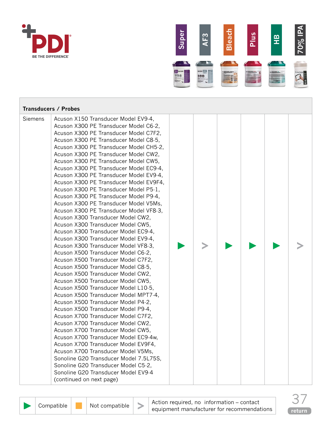



| <b>Transducers / Probes</b> |                                                                                                                                                                                                                                                                                                                                                                                                                                                                                                                                                                                                                                                                                                                                                                                                                                                                                                                                                                                                                                                                                                                                                                                                                                                                                                                                                                                                                                                                                                                                            |  |  |  |
|-----------------------------|--------------------------------------------------------------------------------------------------------------------------------------------------------------------------------------------------------------------------------------------------------------------------------------------------------------------------------------------------------------------------------------------------------------------------------------------------------------------------------------------------------------------------------------------------------------------------------------------------------------------------------------------------------------------------------------------------------------------------------------------------------------------------------------------------------------------------------------------------------------------------------------------------------------------------------------------------------------------------------------------------------------------------------------------------------------------------------------------------------------------------------------------------------------------------------------------------------------------------------------------------------------------------------------------------------------------------------------------------------------------------------------------------------------------------------------------------------------------------------------------------------------------------------------------|--|--|--|
| Siemens                     | Acuson X150 Transducer Model EV9-4,<br>Acuson X300 PE Transducer Model C6-2,<br>Acuson X300 PE Transducer Model C7F2,<br>Acuson X300 PE Transducer Model C8-5,<br>Acuson X300 PE Transducer Model CH5-2,<br>Acuson X300 PE Transducer Model CW2,<br>Acuson X300 PE Transducer Model CW5,<br>Acuson X300 PE Transducer Model EC9-4,<br>Acuson X300 PE Transducer Model EV9-4,<br>Acuson X300 PE Transducer Model EV9F4,<br>Acuson X300 PE Transducer Model P5-1,<br>Acuson X300 PE Transducer Model P9-4,<br>Acuson X300 PE Transducer Model V5Ms,<br>Acuson X300 PE Transducer Model VF8-3,<br>Acuson X300 Transducer Model CW2,<br>Acuson X300 Transducer Model CW5,<br>Acuson X300 Transducer Model EC9-4,<br>Acuson X300 Transducer Model EV9-4,<br>Acuson X300 Transducer Model VF8-3,<br>Acuson X500 Transducer Model C6-2,<br>Acuson X500 Transducer Model C7F2,<br>Acuson X500 Transducer Model C8-5,<br>Acuson X500 Transducer Model CW2,<br>Acuson X500 Transducer Model CW5,<br>Acuson X500 Transducer Model L10-5,<br>Acuson X500 Transducer Model MPT7-4,<br>Acuson X500 Transducer Model P4-2,<br>Acuson X500 Transducer Model P9-4,<br>Acuson X700 Transducer Model C7F2,<br>Acuson X700 Transducer Model CW2,<br>Acuson X700 Transducer Model CW5,<br>Acuson X700 Transducer Model EC9-4w,<br>Acuson X700 Transducer Model EV9F4,<br>Acuson X700 Transducer Model V5Ms,<br>Sonoline G20 Transducer Model 7.5L75S,<br>Sonoline G20 Transducer Model C5-2,<br>Sonoline G20 Transducer Model EV9-4<br>(continued on next page) |  |  |  |



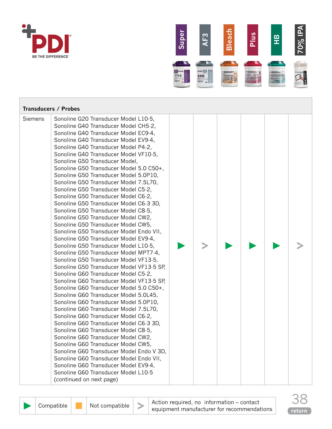



|         | <b>Transducers / Probes</b>                                                                                                                                                                                                                                                                                                                                                                                                                                                                                                                                                                                                                                                                                                                                                                                                                                                                                                                                                                                                                                                                                                                                                                                                                                                                                                                                                                                                                                                                                                                                                    |  |  |  |
|---------|--------------------------------------------------------------------------------------------------------------------------------------------------------------------------------------------------------------------------------------------------------------------------------------------------------------------------------------------------------------------------------------------------------------------------------------------------------------------------------------------------------------------------------------------------------------------------------------------------------------------------------------------------------------------------------------------------------------------------------------------------------------------------------------------------------------------------------------------------------------------------------------------------------------------------------------------------------------------------------------------------------------------------------------------------------------------------------------------------------------------------------------------------------------------------------------------------------------------------------------------------------------------------------------------------------------------------------------------------------------------------------------------------------------------------------------------------------------------------------------------------------------------------------------------------------------------------------|--|--|--|
| Siemens | Sonoline G20 Transducer Model L10-5,<br>Sonoline G40 Transducer Model CH5-2,<br>Sonoline G40 Transducer Model EC9-4,<br>Sonoline G40 Transducer Model EV9-4,<br>Sonoline G40 Transducer Model P4-2,<br>Sonoline G40 Transducer Model VF10-5,<br>Sonoline G50 Transducer Model,<br>Sonoline G50 Transducer Model 5.0 C50+,<br>Sonoline G50 Transducer Model 5.0P10,<br>Sonoline G50 Transducer Model 7.5L70,<br>Sonoline G50 Transducer Model C5-2,<br>Sonoline G50 Transducer Model C6-2,<br>Sonoline G50 Transducer Model C6-3 3D,<br>Sonoline G50 Transducer Model C8-5,<br>Sonoline G50 Transducer Model CW2,<br>Sonoline G50 Transducer Model CW5,<br>Sonoline G50 Transducer Model Endo VII,<br>Sonoline G50 Transducer Model EV9-4,<br>Sonoline G50 Transducer Model L10-5,<br>Sonoline G50 Transducer Model MPT7-4,<br>Sonoline G50 Transducer Model VF13-5,<br>Sonoline G50 Transducer Model VF13-5 SP,<br>Sonoline G60 Transducer Model C5-2,<br>Sonoline G60 Transducer Model VF13-5 SP,<br>Sonoline G60 Transducer Model 5.0 C50+,<br>Sonoline G60 Transducer Model 5.0L45,<br>Sonoline G60 Transducer Model 5.0P10,<br>Sonoline G60 Transducer Model 7.5L70,<br>Sonoline G60 Transducer Model C6-2,<br>Sonoline G60 Transducer Model C6-3 3D,<br>Sonoline G60 Transducer Model C8-5,<br>Sonoline G60 Transducer Model CW2,<br>Sonoline G60 Transducer Model CW5,<br>Sonoline G60 Transducer Model Endo V 3D,<br>Sonoline G60 Transducer Model Endo VII,<br>Sonoline G60 Transducer Model EV9-4,<br>Sonoline G60 Transducer Model L10-5<br>(continued on next page) |  |  |  |



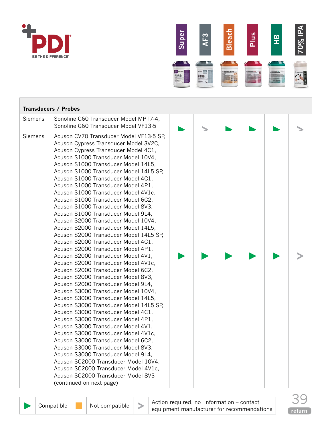



|         | <b>Transducers / Probes</b>                                                                                                                                                                                                                                                                                                                                                                                                                                                                                                                                                                                                                                                                                                                                                                                                                                                                                                                                                                                                                                                                                                                                                                                                                                                                                                                                                                                                                   |  |  |  |
|---------|-----------------------------------------------------------------------------------------------------------------------------------------------------------------------------------------------------------------------------------------------------------------------------------------------------------------------------------------------------------------------------------------------------------------------------------------------------------------------------------------------------------------------------------------------------------------------------------------------------------------------------------------------------------------------------------------------------------------------------------------------------------------------------------------------------------------------------------------------------------------------------------------------------------------------------------------------------------------------------------------------------------------------------------------------------------------------------------------------------------------------------------------------------------------------------------------------------------------------------------------------------------------------------------------------------------------------------------------------------------------------------------------------------------------------------------------------|--|--|--|
| Siemens | Sonoline G60 Transducer Model MPT7-4,<br>Sonoline G60 Transducer Model VF13-5                                                                                                                                                                                                                                                                                                                                                                                                                                                                                                                                                                                                                                                                                                                                                                                                                                                                                                                                                                                                                                                                                                                                                                                                                                                                                                                                                                 |  |  |  |
| Siemens | Acuson CV70 Transducer Model VF13-5 SP.<br>Acuson Cypress Transducer Model 3V2C,<br>Acuson Cypress Transducer Model 4C1,<br>Acuson S1000 Transducer Model 10V4,<br>Acuson S1000 Transducer Model 14L5,<br>Acuson S1000 Transducer Model 14L5 SP,<br>Acuson S1000 Transducer Model 4C1,<br>Acuson S1000 Transducer Model 4P1,<br>Acuson S1000 Transducer Model 4V1c,<br>Acuson S1000 Transducer Model 6C2,<br>Acuson S1000 Transducer Model 8V3,<br>Acuson S1000 Transducer Model 9L4,<br>Acuson S2000 Transducer Model 10V4,<br>Acuson S2000 Transducer Model 14L5,<br>Acuson S2000 Transducer Model 14L5 SP,<br>Acuson S2000 Transducer Model 4C1,<br>Acuson S2000 Transducer Model 4P1,<br>Acuson S2000 Transducer Model 4V1,<br>Acuson S2000 Transducer Model 4V1c,<br>Acuson S2000 Transducer Model 6C2,<br>Acuson S2000 Transducer Model 8V3,<br>Acuson S2000 Transducer Model 9L4,<br>Acuson S3000 Transducer Model 10V4,<br>Acuson S3000 Transducer Model 14L5,<br>Acuson S3000 Transducer Model 14L5 SP,<br>Acuson S3000 Transducer Model 4C1,<br>Acuson S3000 Transducer Model 4P1,<br>Acuson S3000 Transducer Model 4V1,<br>Acuson S3000 Transducer Model 4V1c,<br>Acuson S3000 Transducer Model 6C2,<br>Acuson S3000 Transducer Model 8V3,<br>Acuson S3000 Transducer Model 9L4,<br>Acuson SC2000 Transducer Model 10V4,<br>Acuson SC2000 Transducer Model 4V1c,<br>Acuson SC2000 Transducer Model 8V3<br>(continued on next page) |  |  |  |

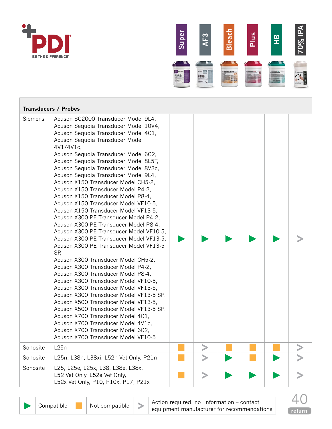



|                | <b>Transducers / Probes</b>                                                                                                                                                                                                                                                                                                                                                                                                                                                                                                                                                                                                                                                                                                                                                                                                                                                                                                                                                                                                                                                                                                                                                                                                                                |  |  |  |
|----------------|------------------------------------------------------------------------------------------------------------------------------------------------------------------------------------------------------------------------------------------------------------------------------------------------------------------------------------------------------------------------------------------------------------------------------------------------------------------------------------------------------------------------------------------------------------------------------------------------------------------------------------------------------------------------------------------------------------------------------------------------------------------------------------------------------------------------------------------------------------------------------------------------------------------------------------------------------------------------------------------------------------------------------------------------------------------------------------------------------------------------------------------------------------------------------------------------------------------------------------------------------------|--|--|--|
| <b>Siemens</b> | Acuson SC2000 Transducer Model 9L4,<br>Acuson Sequoia Transducer Model 10V4,<br>Acuson Sequoia Transducer Model 4C1,<br>Acuson Sequoia Transducer Model<br>4V1/4V1c,<br>Acuson Sequoia Transducer Model 6C2,<br>Acuson Sequoia Transducer Model 8L5T,<br>Acuson Sequoia Transducer Model 8V3c,<br>Acuson Sequoia Transducer Model 9L4,<br>Acuson X150 Transducer Model CH5-2,<br>Acuson X150 Transducer Model P4-2,<br>Acuson X150 Transducer Model P8-4,<br>Acuson X150 Transducer Model VF10-5,<br>Acuson X150 Transducer Model VF13-5,<br>Acuson X300 PE Transducer Model P4-2,<br>Acuson X300 PE Transducer Model P8-4,<br>Acuson X300 PE Transducer Model VF10-5,<br>Acuson X300 PE Transducer Model VF13-5,<br>Acuson X300 PE Transducer Model VF13-5<br>SP,<br>Acuson X300 Transducer Model CH5-2,<br>Acuson X300 Transducer Model P4-2,<br>Acuson X300 Transducer Model P8-4,<br>Acuson X300 Transducer Model VF10-5,<br>Acuson X300 Transducer Model VF13-5,<br>Acuson X300 Transducer Model VF13-5 SP,<br>Acuson X500 Transducer Model VF13-5,<br>Acuson X500 Transducer Model VF13-5 SP,<br>Acuson X700 Transducer Model 4C1,<br>Acuson X700 Transducer Model 4V1c,<br>Acuson X700 Transducer Model 6C2,<br>Acuson X700 Transducer Model VF10-5 |  |  |  |
| Sonosite       | L25n                                                                                                                                                                                                                                                                                                                                                                                                                                                                                                                                                                                                                                                                                                                                                                                                                                                                                                                                                                                                                                                                                                                                                                                                                                                       |  |  |  |
| Sonosite       | L25n, L38n, L38xi, L52n Vet Only, P21n                                                                                                                                                                                                                                                                                                                                                                                                                                                                                                                                                                                                                                                                                                                                                                                                                                                                                                                                                                                                                                                                                                                                                                                                                     |  |  |  |
| Sonosite       | L25, L25e, L25x, L38, L38e, L38x,<br>L52 Vet Only, L52e Vet Only,<br>L52x Vet Only, P10, P10x, P17, P21x                                                                                                                                                                                                                                                                                                                                                                                                                                                                                                                                                                                                                                                                                                                                                                                                                                                                                                                                                                                                                                                                                                                                                   |  |  |  |

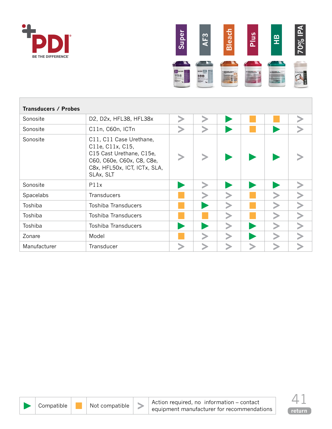



| <b>Transducers / Probes</b> |                                                                                                                                                   |  |  |  |
|-----------------------------|---------------------------------------------------------------------------------------------------------------------------------------------------|--|--|--|
| Sonosite                    | D2, D2x, HFL38, HFL38x                                                                                                                            |  |  |  |
| Sonosite                    | C11n, C60n, ICTn                                                                                                                                  |  |  |  |
| Sonosite                    | C11, C11 Case Urethane,<br>C11e, C11x, C15,<br>C15 Cast Urethane, C15e,<br>C60, C60e, C60x, C8, C8e,<br>C8x, HFL50x, ICT, ICTx, SLA,<br>SLAx, SLT |  |  |  |
| Sonosite                    | P11x                                                                                                                                              |  |  |  |
| Spacelabs                   | <b>Transducers</b>                                                                                                                                |  |  |  |
| Toshiba                     | Toshiba Transducers                                                                                                                               |  |  |  |
| Toshiba                     | <b>Toshiba Transducers</b>                                                                                                                        |  |  |  |
| Toshiba                     | <b>Toshiba Transducers</b>                                                                                                                        |  |  |  |
| Zonare                      | Model                                                                                                                                             |  |  |  |
| Manufacturer                | Transducer                                                                                                                                        |  |  |  |

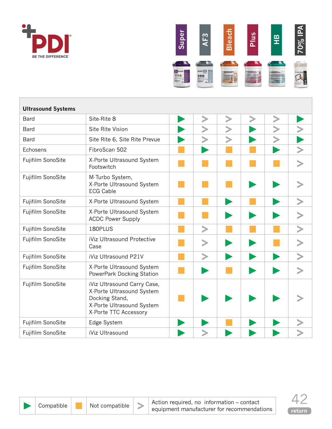<span id="page-41-0"></span>



| <b>Ultrasound Systems</b> |                                                                                                                                  |   |  |  |
|---------------------------|----------------------------------------------------------------------------------------------------------------------------------|---|--|--|
| Bard                      | Site-Rite 8                                                                                                                      |   |  |  |
| Bard                      | Site Rite Vision                                                                                                                 |   |  |  |
| Bard                      | Site Rite 6, Site Rite Prevue                                                                                                    |   |  |  |
| Echosens                  | FibroScan 502                                                                                                                    |   |  |  |
| Fujifilm SonoSite         | X-Porte Ultrasound System<br>Footswitch                                                                                          |   |  |  |
| Fujifilm SonoSite         | M-Turbo System,<br>X-Porte Ultrasound System<br><b>ECG Cable</b>                                                                 |   |  |  |
| Fujifilm SonoSite         | X-Porte Ultrasound System                                                                                                        |   |  |  |
| Fujifilm SonoSite         | X-Porte Ultrasound System<br><b>ACDC Power Supply</b>                                                                            |   |  |  |
| Fujifilm SonoSite         | 180PLUS                                                                                                                          | > |  |  |
| Fujifilm SonoSite         | iViz Ultrasound Protective<br>Case                                                                                               |   |  |  |
| Fujifilm SonoSite         | iViz Ultrasound P21V                                                                                                             |   |  |  |
| Fujifilm SonoSite         | X-Porte Ultrasound System<br>PowerPark Docking Station                                                                           |   |  |  |
| Fujifilm SonoSite         | iViz Ultrasound Carry Case,<br>X-Porte Ultrasound System<br>Docking Stand,<br>X-Porte Ultrasound System<br>X-Porte TTC Accessory |   |  |  |
| Fujifilm SonoSite         | Edge System                                                                                                                      |   |  |  |
| Fujifilm SonoSite         | iViz Ultrasound                                                                                                                  |   |  |  |



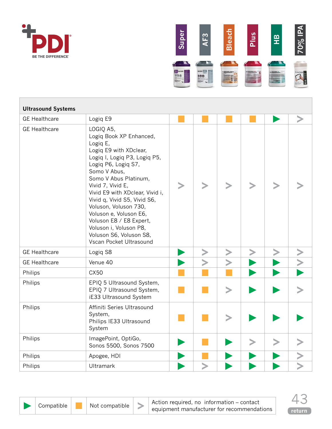



| <b>Ultrasound Systems</b> |                                                                                                                                                                                                                                                                                                                                                                                                                                  |  |  |  |
|---------------------------|----------------------------------------------------------------------------------------------------------------------------------------------------------------------------------------------------------------------------------------------------------------------------------------------------------------------------------------------------------------------------------------------------------------------------------|--|--|--|
| <b>GE</b> Healthcare      | Logiq E9                                                                                                                                                                                                                                                                                                                                                                                                                         |  |  |  |
| <b>GE Healthcare</b>      | LOGIQ A5,<br>Logiq Book XP Enhanced,<br>Logiq E,<br>Logiq E9 with XDclear,<br>Logiq I, Logiq P3, Logiq P5,<br>Logiq P6, Logiq S7,<br>Somo V Abus,<br>Somo V Abus Platinum,<br>Vivid 7, Vivid E,<br>Vivid E9 with XDclear, Vivid i,<br>Vivid q, Vivid S5, Vivid S6,<br>Voluson, Voluson 730,<br>Voluson e, Voluson E6,<br>Voluson E8 / E8 Expert,<br>Voluson i, Voluson P8,<br>Voluson S6, Voluson S8,<br>Vscan Pocket Ultrasound |  |  |  |
| <b>GE Healthcare</b>      | Logiq S8                                                                                                                                                                                                                                                                                                                                                                                                                         |  |  |  |
| <b>GE Healthcare</b>      | Venue 40                                                                                                                                                                                                                                                                                                                                                                                                                         |  |  |  |
| Philips                   | CX50                                                                                                                                                                                                                                                                                                                                                                                                                             |  |  |  |
| Philips                   | EPIQ 5 Ultrasound System,<br>EPIQ 7 Ultrasound System,<br>iE33 Ultrasound System                                                                                                                                                                                                                                                                                                                                                 |  |  |  |
| Philips                   | Affiniti Series Ultrasound<br>System,<br>Philips IE33 Ultrasound<br>System                                                                                                                                                                                                                                                                                                                                                       |  |  |  |
| Philips                   | ImagePoint, OptiGo,<br>Sonos 5500, Sonos 7500                                                                                                                                                                                                                                                                                                                                                                                    |  |  |  |
| Philips                   | Apogee, HDI                                                                                                                                                                                                                                                                                                                                                                                                                      |  |  |  |
| Philips                   | <b>Ultramark</b>                                                                                                                                                                                                                                                                                                                                                                                                                 |  |  |  |

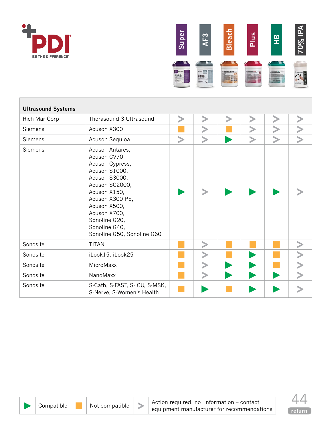



| <b>Ultrasound Systems</b> |                                                                                                                                                                                                                                           |  |        |  |  |  |  |  |
|---------------------------|-------------------------------------------------------------------------------------------------------------------------------------------------------------------------------------------------------------------------------------------|--|--------|--|--|--|--|--|
| Rich Mar Corp             | Therasound 3 Ultrasound                                                                                                                                                                                                                   |  |        |  |  |  |  |  |
| <b>Siemens</b>            | Acuson X300                                                                                                                                                                                                                               |  |        |  |  |  |  |  |
| Siemens                   | Acuson Sequioa                                                                                                                                                                                                                            |  |        |  |  |  |  |  |
| Siemens                   | Acuson Antares,<br>Acuson CV70,<br>Acuson Cypress,<br>Acuson S1000,<br>Acuson S3000,<br>Acuson SC2000,<br>Acuson X150,<br>Acuson X300 PE,<br>Acuson X500,<br>Acuson X700,<br>Sonoline G20,<br>Sonoline G40,<br>Sonoline G50, Sonoline G60 |  |        |  |  |  |  |  |
| Sonosite                  | <b>TITAN</b>                                                                                                                                                                                                                              |  |        |  |  |  |  |  |
| Sonosite                  | iLook15, iLook25                                                                                                                                                                                                                          |  |        |  |  |  |  |  |
| Sonosite                  | MicroMaxx                                                                                                                                                                                                                                 |  |        |  |  |  |  |  |
| Sonosite                  | NanoMaxx                                                                                                                                                                                                                                  |  | $\, >$ |  |  |  |  |  |
| Sonosite                  | S-Cath, S-FAST, S-ICU, S-MSK,<br>S-Nerve, S-Women's Health                                                                                                                                                                                |  |        |  |  |  |  |  |